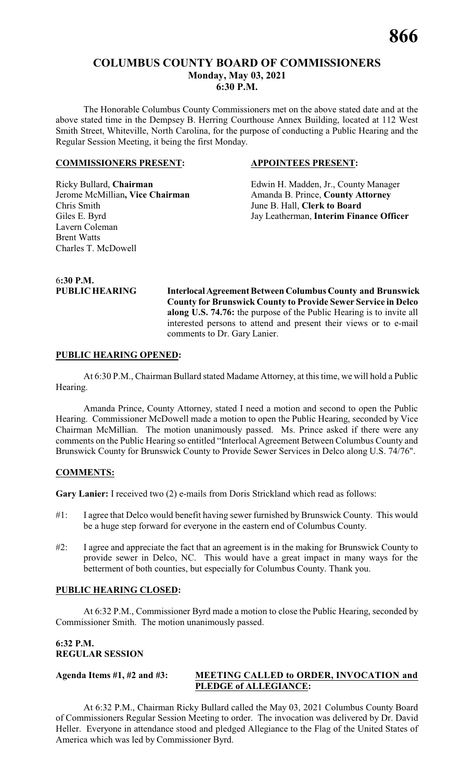# **COLUMBUS COUNTY BOARD OF COMMISSIONERS Monday, May 03, 2021 6:30 P.M.**

The Honorable Columbus County Commissioners met on the above stated date and at the above stated time in the Dempsey B. Herring Courthouse Annex Building, located at 112 West Smith Street, Whiteville, North Carolina, for the purpose of conducting a Public Hearing and the Regular Session Meeting, it being the first Monday.

#### **COMMISSIONERS PRESENT: APPOINTEES PRESENT:**

Jerome McMillian, Vice Chairman Amanda B. Prince, County Attorney Chris Smith June B. Hall, **Clerk to Board** Lavern Coleman Brent Watts Charles T. McDowell

Ricky Bullard, **Chairman** Edwin H. Madden, Jr., County Manager Giles E. Byrd Jay Leatherman, **Interim Finance Officer**

6**:30 P.M.**

**PUBLIC HEARING InterlocalAgreement Between Columbus County and Brunswick County for Brunswick County to Provide Sewer Service in Delco along U.S. 74.76:** the purpose of the Public Hearing is to invite all interested persons to attend and present their views or to e-mail comments to Dr. Gary Lanier.

#### **PUBLIC HEARING OPENED:**

At 6:30 P.M., Chairman Bullard stated Madame Attorney, at this time, we will hold a Public Hearing.

Amanda Prince, County Attorney, stated I need a motion and second to open the Public Hearing. Commissioner McDowell made a motion to open the Public Hearing, seconded by Vice Chairman McMillian. The motion unanimously passed. Ms. Prince asked if there were any comments on the Public Hearing so entitled "Interlocal Agreement Between Columbus County and Brunswick County for Brunswick County to Provide Sewer Services in Delco along U.S. 74/76".

#### **COMMENTS:**

**Gary Lanier:** I received two (2) e-mails from Doris Strickland which read as follows:

- #1: I agree that Delco would benefit having sewer furnished by Brunswick County. This would be a huge step forward for everyone in the eastern end of Columbus County.
- #2: I agree and appreciate the fact that an agreement is in the making for Brunswick County to provide sewer in Delco, NC. This would have a great impact in many ways for the betterment of both counties, but especially for Columbus County. Thank you.

#### **PUBLIC HEARING CLOSED:**

At 6:32 P.M., Commissioner Byrd made a motion to close the Public Hearing, seconded by Commissioner Smith. The motion unanimously passed.

# **6:32 P.M. REGULAR SESSION**

# **Agenda Items #1, #2 and #3: MEETING CALLED to ORDER, INVOCATION and PLEDGE of ALLEGIANCE:**

At 6:32 P.M., Chairman Ricky Bullard called the May 03, 2021 Columbus County Board of Commissioners Regular Session Meeting to order. The invocation was delivered by Dr. David Heller. Everyone in attendance stood and pledged Allegiance to the Flag of the United States of America which was led by Commissioner Byrd.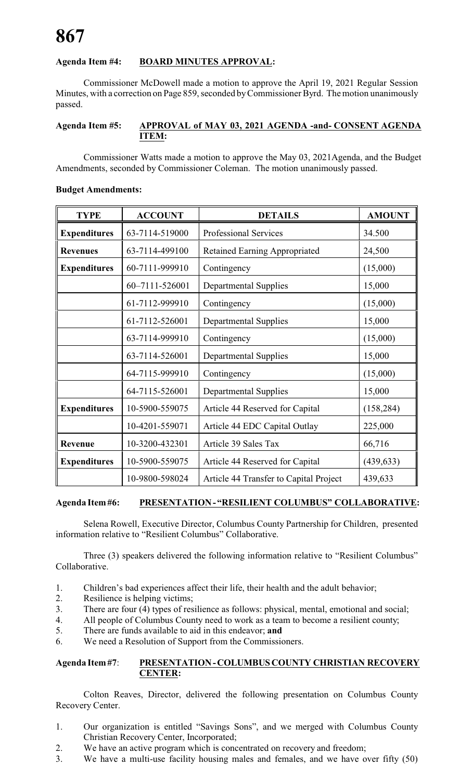# **Agenda Item #4: BOARD MINUTES APPROVAL:**

Commissioner McDowell made a motion to approve the April 19, 2021 Regular Session Minutes, with a correction on Page 859, seconded byCommissioner Byrd. The motion unanimously passed.

#### **Agenda Item #5: APPROVAL of MAY 03, 2021 AGENDA -and- CONSENT AGENDA ITEM:**

Commissioner Watts made a motion to approve the May 03, 2021Agenda, and the Budget Amendments, seconded by Commissioner Coleman. The motion unanimously passed.

# **Budget Amendments:**

| <b>TYPE</b>         | <b>ACCOUNT</b> | <b>DETAILS</b>                         | <b>AMOUNT</b> |
|---------------------|----------------|----------------------------------------|---------------|
| <b>Expenditures</b> | 63-7114-519000 | <b>Professional Services</b>           | 34.500        |
| <b>Revenues</b>     | 63-7114-499100 | <b>Retained Earning Appropriated</b>   | 24,500        |
| <b>Expenditures</b> | 60-7111-999910 | Contingency                            | (15,000)      |
|                     | 60-7111-526001 | <b>Departmental Supplies</b>           | 15,000        |
|                     | 61-7112-999910 | Contingency                            | (15,000)      |
|                     | 61-7112-526001 | Departmental Supplies                  | 15,000        |
|                     | 63-7114-999910 | Contingency                            | (15,000)      |
|                     | 63-7114-526001 | <b>Departmental Supplies</b>           | 15,000        |
|                     | 64-7115-999910 | Contingency                            | (15,000)      |
|                     | 64-7115-526001 | <b>Departmental Supplies</b>           | 15,000        |
| <b>Expenditures</b> | 10-5900-559075 | Article 44 Reserved for Capital        | (158, 284)    |
|                     | 10-4201-559071 | Article 44 EDC Capital Outlay          | 225,000       |
| <b>Revenue</b>      | 10-3200-432301 | Article 39 Sales Tax                   | 66,716        |
| <b>Expenditures</b> | 10-5900-559075 | Article 44 Reserved for Capital        | (439, 633)    |
|                     | 10-9800-598024 | Article 44 Transfer to Capital Project | 439,633       |

# **Agenda Item#6: PRESENTATION- "RESILIENT COLUMBUS" COLLABORATIVE:**

Selena Rowell, Executive Director, Columbus County Partnership for Children, presented information relative to "Resilient Columbus" Collaborative.

Three (3) speakers delivered the following information relative to "Resilient Columbus" Collaborative.

- 1. Children's bad experiences affect their life, their health and the adult behavior;
- 2. Resilience is helping victims;
- 3. There are four (4) types of resilience as follows: physical, mental, emotional and social;
- 4. All people of Columbus County need to work as a team to become a resilient county;
- 5. There are funds available to aid in this endeavor; **and**
- 6. We need a Resolution of Support from the Commissioners.

#### **Agenda Item#7**: **PRESENTATION-COLUMBUSCOUNTY CHRISTIAN RECOVERY CENTER:**

Colton Reaves, Director, delivered the following presentation on Columbus County Recovery Center.

- 1. Our organization is entitled "Savings Sons", and we merged with Columbus County Christian Recovery Center, Incorporated;
- 2. We have an active program which is concentrated on recovery and freedom;
- 3. We have a multi-use facility housing males and females, and we have over fifty (50)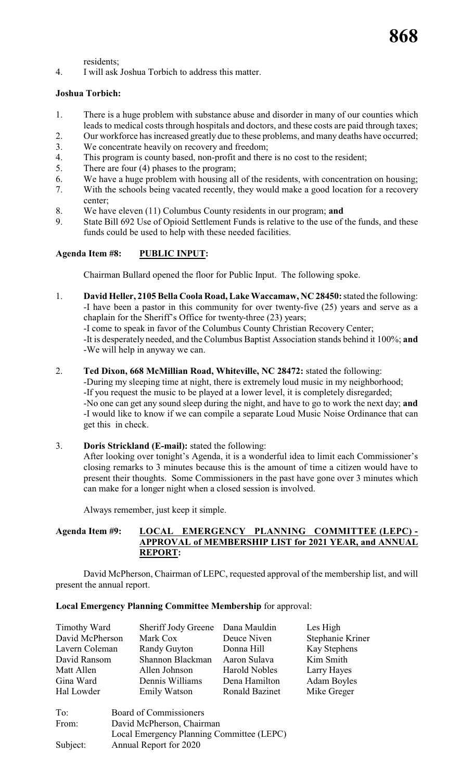residents;

4. I will ask Joshua Torbich to address this matter.

### **Joshua Torbich:**

- 1. There is a huge problem with substance abuse and disorder in many of our counties which leads to medical costs through hospitals and doctors, and these costs are paid through taxes;
- 2. Our workforce has increased greatly due to these problems, and many deaths have occurred;
- 3. We concentrate heavily on recovery and freedom;
- 4. This program is county based, non-profit and there is no cost to the resident;
- 5. There are four (4) phases to the program;
- 6. We have a huge problem with housing all of the residents, with concentration on housing;
- 7. With the schools being vacated recently, they would make a good location for a recovery center;
- 8. We have eleven (11) Columbus County residents in our program; **and**
- 9. State Bill 692 Use of Opioid Settlement Funds is relative to the use of the funds, and these funds could be used to help with these needed facilities.

# **Agenda Item #8: PUBLIC INPUT:**

Chairman Bullard opened the floor for Public Input. The following spoke.

1. **David Heller, 2105 Bella Coola Road, Lake Waccamaw, NC 28450:**stated the following: -I have been a pastor in this community for over twenty-five (25) years and serve as a chaplain for the Sheriff's Office for twenty-three (23) years;

-I come to speak in favor of the Columbus County Christian Recovery Center;

-It is desperately needed, and the Columbus Baptist Association stands behind it 100%; **and** -We will help in anyway we can.

2. **Ted Dixon, 668 McMillian Road, Whiteville, NC 28472:** stated the following:

-During my sleeping time at night, there is extremely loud music in my neighborhood; -If you request the music to be played at a lower level, it is completely disregarded; -No one can get any sound sleep during the night, and have to go to work the next day; **and** -I would like to know if we can compile a separate Loud Music Noise Ordinance that can get this in check.

3. **Doris Strickland (E-mail):** stated the following:

After looking over tonight's Agenda, it is a wonderful idea to limit each Commissioner's closing remarks to 3 minutes because this is the amount of time a citizen would have to present their thoughts. Some Commissioners in the past have gone over 3 minutes which can make for a longer night when a closed session is involved.

Always remember, just keep it simple.

#### **Agenda Item #9: LOCAL EMERGENCY PLANNING COMMITTEE (LEPC) - APPROVAL of MEMBERSHIP LIST for 2021 YEAR, and ANNUAL REPORT:**

David McPherson, Chairman of LEPC, requested approval of the membership list, and will present the annual report.

#### **Local Emergency Planning Committee Membership** for approval:

| Timothy Ward    | Sheriff Jody Greene Dana Mauldin |                       | Les High           |
|-----------------|----------------------------------|-----------------------|--------------------|
| David McPherson | Mark Cox                         | Deuce Niven           | Stephanie Kriner   |
| Lavern Coleman  | Randy Guyton                     | Donna Hill            | Kay Stephens       |
| David Ransom    | Shannon Blackman                 | Aaron Sulava          | Kim Smith          |
| Matt Allen      | Allen Johnson                    | <b>Harold Nobles</b>  | Larry Hayes        |
| Gina Ward       | Dennis Williams                  | Dena Hamilton         | <b>Adam Boyles</b> |
| Hal Lowder      | <b>Emily Watson</b>              | <b>Ronald Bazinet</b> | Mike Greger        |
|                 |                                  |                       |                    |

| Board of Commissioners                    |
|-------------------------------------------|
| David McPherson, Chairman                 |
| Local Emergency Planning Committee (LEPC) |
| Annual Report for 2020                    |
|                                           |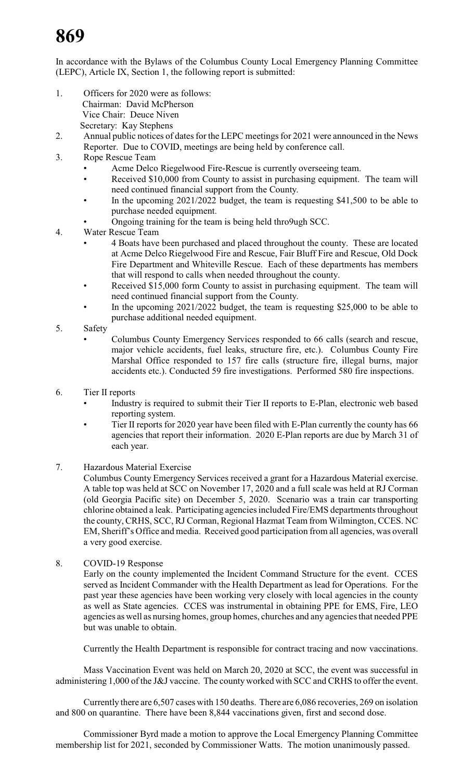# **869**

In accordance with the Bylaws of the Columbus County Local Emergency Planning Committee (LEPC), Article IX, Section 1, the following report is submitted:

- 1. Officers for 2020 were as follows: Chairman: David McPherson Vice Chair: Deuce Niven Secretary: Kay Stephens
- 2. Annual public notices of dates for the LEPC meetings for 2021 were announced in the News Reporter. Due to COVID, meetings are being held by conference call.
- 3. Rope Rescue Team
	- Acme Delco Riegelwood Fire-Rescue is currently overseeing team.
	- Received \$10,000 from County to assist in purchasing equipment. The team will need continued financial support from the County.
	- In the upcoming 2021/2022 budget, the team is requesting \$41,500 to be able to purchase needed equipment.
	- Ongoing training for the team is being held thro9ugh SCC.

4. Water Rescue Team

- 4 Boats have been purchased and placed throughout the county. These are located at Acme Delco Riegelwood Fire and Rescue, Fair Bluff Fire and Rescue, Old Dock Fire Department and Whiteville Rescue. Each of these departments has members that will respond to calls when needed throughout the county.
- Received \$15,000 form County to assist in purchasing equipment. The team will need continued financial support from the County.
- In the upcoming 2021/2022 budget, the team is requesting \$25,000 to be able to purchase additional needed equipment.
- 5. Safety
	- Columbus County Emergency Services responded to 66 calls (search and rescue, major vehicle accidents, fuel leaks, structure fire, etc.). Columbus County Fire Marshal Office responded to 157 fire calls (structure fire, illegal burns, major accidents etc.). Conducted 59 fire investigations. Performed 580 fire inspections.
- 6. Tier II reports
	- Industry is required to submit their Tier II reports to E-Plan, electronic web based reporting system.
	- Tier II reports for 2020 year have been filed with E-Plan currently the county has 66 agencies that report their information. 2020 E-Plan reports are due by March 31 of each year.
- 7. Hazardous Material Exercise

Columbus County Emergency Services received a grant for a Hazardous Material exercise. A table top was held at SCC on November 17, 2020 and a full scale was held at RJ Corman (old Georgia Pacific site) on December 5, 2020. Scenario was a train car transporting chlorine obtained a leak. Participating agencies included Fire/EMS departments throughout the county, CRHS, SCC, RJ Corman, Regional Hazmat Team from Wilmington, CCES. NC EM, Sheriff's Office and media. Received good participation from all agencies, was overall a very good exercise.

8. COVID-19 Response

Early on the county implemented the Incident Command Structure for the event. CCES served as Incident Commander with the Health Department as lead for Operations. For the past year these agencies have been working very closely with local agencies in the county as well as State agencies. CCES was instrumental in obtaining PPE for EMS, Fire, LEO agencies as well as nursing homes, group homes, churches and any agencies that needed PPE but was unable to obtain.

Currently the Health Department is responsible for contract tracing and now vaccinations.

Mass Vaccination Event was held on March 20, 2020 at SCC, the event was successful in administering 1,000 of the J&J vaccine. The county worked with SCC and CRHS to offer the event.

Currently there are 6,507 cases with 150 deaths. There are 6,086 recoveries, 269 on isolation and 800 on quarantine. There have been 8,844 vaccinations given, first and second dose.

Commissioner Byrd made a motion to approve the Local Emergency Planning Committee membership list for 2021, seconded by Commissioner Watts. The motion unanimously passed.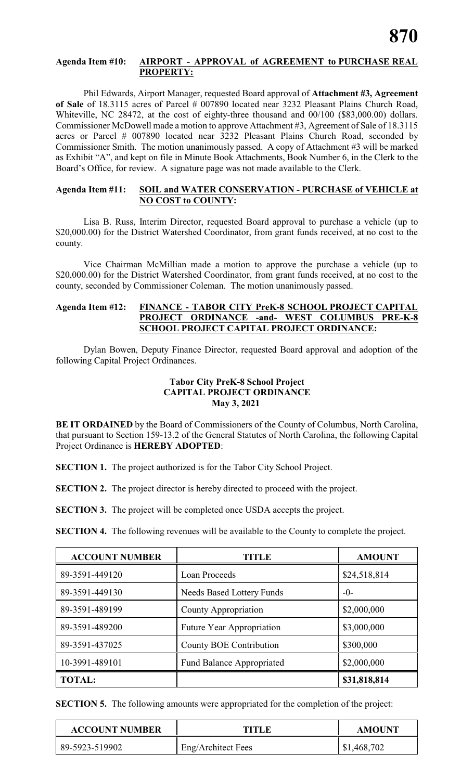#### **Agenda Item #10: AIRPORT - APPROVAL of AGREEMENT to PURCHASE REAL PROPERTY:**

Phil Edwards, Airport Manager, requested Board approval of **Attachment #3, Agreement** of Sale of 18.3115 acres of Parcel # 007890 located near 3232 Pleasant Plains Church Road, Whiteville, NC 28472, at the cost of eighty-three thousand and 00/100 (\$83,000.00) dollars. Commissioner McDowell made a motion to approve Attachment #3, Agreement of Sale of 18.3115 acres or Parcel # 007890 located near 3232 Pleasant Plains Church Road, seconded by Commissioner Smith. The motion unanimously passed. A copy of Attachment #3 will be marked as Exhibit "A", and kept on file in Minute Book Attachments, Book Number 6, in the Clerk to the Board's Office, for review. A signature page was not made available to the Clerk.

#### **Agenda Item #11: SOIL and WATER CONSERVATION - PURCHASE of VEHICLE at NO COST to COUNTY:**

Lisa B. Russ, Interim Director, requested Board approval to purchase a vehicle (up to \$20,000.00) for the District Watershed Coordinator, from grant funds received, at no cost to the county.

Vice Chairman McMillian made a motion to approve the purchase a vehicle (up to \$20,000.00) for the District Watershed Coordinator, from grant funds received, at no cost to the county, seconded by Commissioner Coleman. The motion unanimously passed.

### **Agenda Item #12: FINANCE - TABOR CITY PreK-8 SCHOOL PROJECT CAPITAL PROJECT ORDINANCE -and- WEST COLUMBUS PRE-K-8 SCHOOL PROJECT CAPITAL PROJECT ORDINANCE:**

Dylan Bowen, Deputy Finance Director, requested Board approval and adoption of the following Capital Project Ordinances.

# **Tabor City PreK-8 School Project CAPITAL PROJECT ORDINANCE May 3, 2021**

**BE IT ORDAINED** by the Board of Commissioners of the County of Columbus, North Carolina, that pursuant to Section 159-13.2 of the General Statutes of North Carolina, the following Capital Project Ordinance is **HEREBY ADOPTED**:

**SECTION 1.** The project authorized is for the Tabor City School Project.

**SECTION 2.** The project director is hereby directed to proceed with the project.

**SECTION 3.** The project will be completed once USDA accepts the project.

**SECTION 4.** The following revenues will be available to the County to complete the project.

| <b>ACCOUNT NUMBER</b> | <b>TITLE</b>                     | <b>AMOUNT</b> |
|-----------------------|----------------------------------|---------------|
| 89-3591-449120        | Loan Proceeds                    | \$24,518,814  |
| 89-3591-449130        | <b>Needs Based Lottery Funds</b> | $-0-$         |
| 89-3591-489199        | County Appropriation             | \$2,000,000   |
| 89-3591-489200        | Future Year Appropriation        | \$3,000,000   |
| 89-3591-437025        | County BOE Contribution          | \$300,000     |
| 10-3991-489101        | <b>Fund Balance Appropriated</b> | \$2,000,000   |
| <b>TOTAL:</b>         |                                  | \$31,818,814  |

**SECTION 5.** The following amounts were appropriated for the completion of the project:

| <b>ACCOUNT NUMBER</b> | TITLF              | <b>AMOUNT</b> |
|-----------------------|--------------------|---------------|
| 89-5923-519902        | Eng/Architect Fees | \$1,468,702   |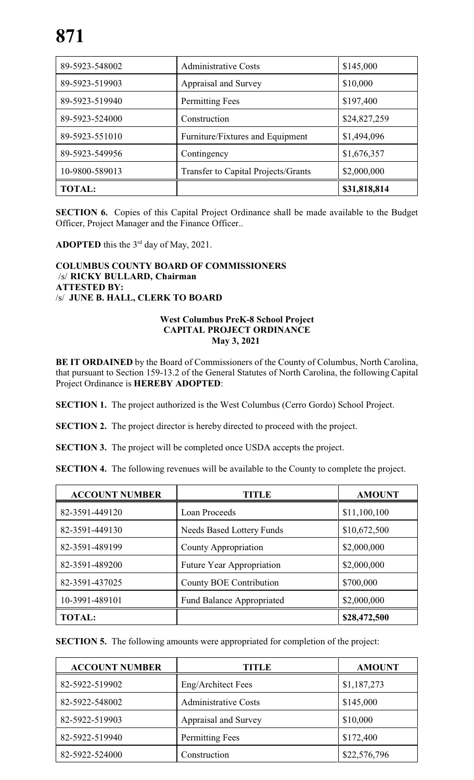| 89-5923-548002 | <b>Administrative Costs</b>         | \$145,000    |
|----------------|-------------------------------------|--------------|
| 89-5923-519903 | Appraisal and Survey                | \$10,000     |
| 89-5923-519940 | Permitting Fees                     | \$197,400    |
| 89-5923-524000 | Construction                        | \$24,827,259 |
| 89-5923-551010 | Furniture/Fixtures and Equipment    | \$1,494,096  |
| 89-5923-549956 | Contingency                         | \$1,676,357  |
| 10-9800-589013 | Transfer to Capital Projects/Grants | \$2,000,000  |
| <b>TOTAL:</b>  |                                     | \$31,818,814 |

**SECTION 6.** Copies of this Capital Project Ordinance shall be made available to the Budget Officer, Project Manager and the Finance Officer..

**ADOPTED** this the  $3^{rd}$  day of May, 2021.

# **COLUMBUS COUNTY BOARD OF COMMISSIONERS** /s/ **RICKY BULLARD, Chairman ATTESTED BY:**  /s/ **JUNE B. HALL, CLERK TO BOARD**

#### **West Columbus PreK-8 School Project CAPITAL PROJECT ORDINANCE May 3, 2021**

**BE IT ORDAINED** by the Board of Commissioners of the County of Columbus, North Carolina, that pursuant to Section 159-13.2 of the General Statutes of North Carolina, the following Capital Project Ordinance is **HEREBY ADOPTED**:

**SECTION 1.** The project authorized is the West Columbus (Cerro Gordo) School Project.

**SECTION 2.** The project director is hereby directed to proceed with the project.

**SECTION 3.** The project will be completed once USDA accepts the project.

**SECTION 4.** The following revenues will be available to the County to complete the project.

| <b>ACCOUNT NUMBER</b> | TITLE                            | <b>AMOUNT</b> |
|-----------------------|----------------------------------|---------------|
| 82-3591-449120        | Loan Proceeds                    | \$11,100,100  |
| 82-3591-449130        | <b>Needs Based Lottery Funds</b> | \$10,672,500  |
| 82-3591-489199        | County Appropriation             | \$2,000,000   |
| 82-3591-489200        | <b>Future Year Appropriation</b> | \$2,000,000   |
| 82-3591-437025        | County BOE Contribution          | \$700,000     |
| 10-3991-489101        | <b>Fund Balance Appropriated</b> | \$2,000,000   |
| <b>TOTAL:</b>         |                                  | \$28,472,500  |

**SECTION 5.** The following amounts were appropriated for completion of the project:

| <b>ACCOUNT NUMBER</b> | TITLE                       | <b>AMOUNT</b> |
|-----------------------|-----------------------------|---------------|
| 82-5922-519902        | Eng/Architect Fees          | \$1,187,273   |
| 82-5922-548002        | <b>Administrative Costs</b> | \$145,000     |
| 82-5922-519903        | Appraisal and Survey        | \$10,000      |
| 82-5922-519940        | <b>Permitting Fees</b>      | \$172,400     |
| 82-5922-524000        | Construction                | \$22,576,796  |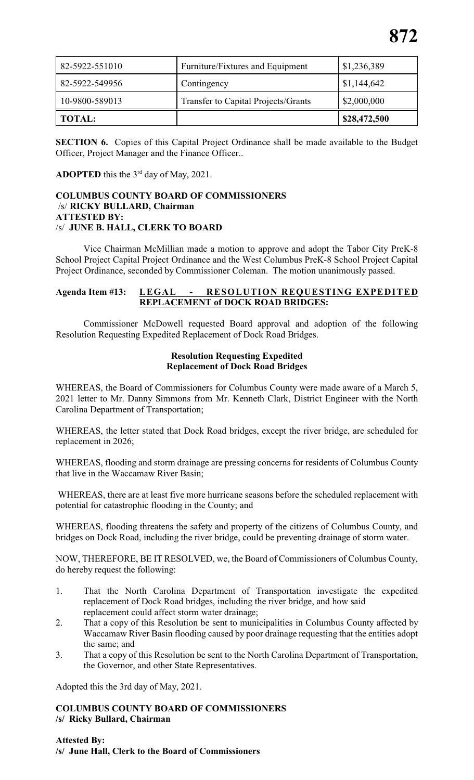| 82-5922-551010 | Furniture/Fixtures and Equipment    | \$1,236,389  |
|----------------|-------------------------------------|--------------|
| 82-5922-549956 | Contingency                         | \$1,144,642  |
| 10-9800-589013 | Transfer to Capital Projects/Grants | \$2,000,000  |
| <b>TOTAL:</b>  |                                     | \$28,472,500 |

**SECTION 6.** Copies of this Capital Project Ordinance shall be made available to the Budget Officer, Project Manager and the Finance Officer..

**ADOPTED** this the  $3^{rd}$  day of May, 2021.

# **COLUMBUS COUNTY BOARD OF COMMISSIONERS** /s/ **RICKY BULLARD, Chairman ATTESTED BY:**  /s/ **JUNE B. HALL, CLERK TO BOARD**

Vice Chairman McMillian made a motion to approve and adopt the Tabor City PreK-8 School Project Capital Project Ordinance and the West Columbus PreK-8 School Project Capital Project Ordinance, seconded by Commissioner Coleman. The motion unanimously passed.

#### **Agenda Item #13: LEGAL - RESOLUTION REQUESTING EXPEDITED REPLACEMENT of DOCK ROAD BRIDGES:**

Commissioner McDowell requested Board approval and adoption of the following Resolution Requesting Expedited Replacement of Dock Road Bridges.

#### **Resolution Requesting Expedited Replacement of Dock Road Bridges**

WHEREAS, the Board of Commissioners for Columbus County were made aware of a March 5, 2021 letter to Mr. Danny Simmons from Mr. Kenneth Clark, District Engineer with the North Carolina Department of Transportation;

WHEREAS, the letter stated that Dock Road bridges, except the river bridge, are scheduled for replacement in 2026;

WHEREAS, flooding and storm drainage are pressing concerns for residents of Columbus County that live in the Waccamaw River Basin;

WHEREAS, there are at least five more hurricane seasons before the scheduled replacement with potential for catastrophic flooding in the County; and

WHEREAS, flooding threatens the safety and property of the citizens of Columbus County, and bridges on Dock Road, including the river bridge, could be preventing drainage of storm water.

NOW, THEREFORE, BE IT RESOLVED, we, the Board of Commissioners of Columbus County, do hereby request the following:

- 1. That the North Carolina Department of Transportation investigate the expedited replacement of Dock Road bridges, including the river bridge, and how said replacement could affect storm water drainage;
- 2. That a copy of this Resolution be sent to municipalities in Columbus County affected by Waccamaw River Basin flooding caused by poor drainage requesting that the entities adopt the same; and
- 3. That a copy of this Resolution be sent to the North Carolina Department of Transportation, the Governor, and other State Representatives.

Adopted this the 3rd day of May, 2021.

#### **COLUMBUS COUNTY BOARD OF COMMISSIONERS /s/ Ricky Bullard, Chairman**

**Attested By: /s/ June Hall, Clerk to the Board of Commissioners**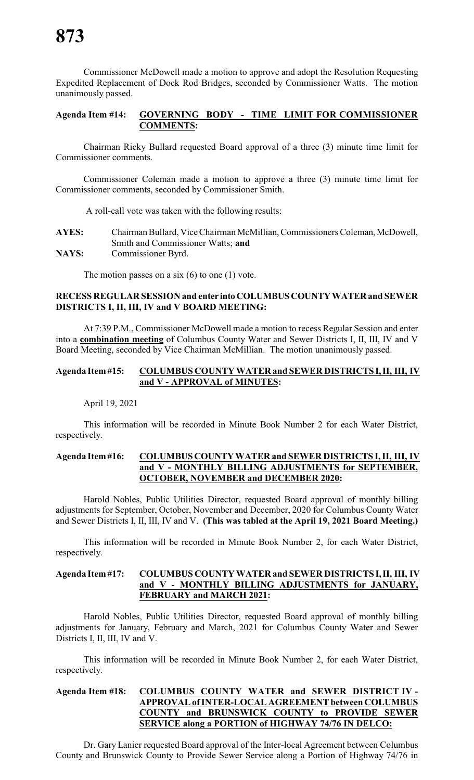Commissioner McDowell made a motion to approve and adopt the Resolution Requesting Expedited Replacement of Dock Rod Bridges, seconded by Commissioner Watts. The motion unanimously passed.

# **Agenda Item #14: GOVERNING BODY - TIME LIMIT FOR COMMISSIONER COMMENTS:**

Chairman Ricky Bullard requested Board approval of a three (3) minute time limit for Commissioner comments.

Commissioner Coleman made a motion to approve a three (3) minute time limit for Commissioner comments, seconded by Commissioner Smith.

A roll-call vote was taken with the following results:

| <b>AYES:</b> | Chairman Bullard, Vice Chairman McMillian, Commissioners Coleman, McDowell, |
|--------------|-----------------------------------------------------------------------------|
|              | Smith and Commissioner Watts; and                                           |
| <b>NAYS:</b> | Commissioner Byrd.                                                          |

The motion passes on a six  $(6)$  to one  $(1)$  vote.

#### **RECESS REGULAR SESSION and enter intoCOLUMBUSCOUNTYWATERand SEWER DISTRICTS I, II, III, IV and V BOARD MEETING:**

At 7:39 P.M., Commissioner McDowell made a motion to recess Regular Session and enter into a **combination meeting** of Columbus County Water and Sewer Districts I, II, III, IV and V Board Meeting, seconded by Vice Chairman McMillian. The motion unanimously passed.

#### **Agenda Item#15: COLUMBUS COUNTY WATER and SEWER DISTRICTS I,II, III, IV and V - APPROVAL of MINUTES:**

April 19, 2021

This information will be recorded in Minute Book Number 2 for each Water District, respectively.

#### **Agenda Item#16: COLUMBUSCOUNTYWATER and SEWER DISTRICTS I, II, III, IV and V - MONTHLY BILLING ADJUSTMENTS for SEPTEMBER, OCTOBER, NOVEMBER and DECEMBER 2020:**

Harold Nobles, Public Utilities Director, requested Board approval of monthly billing adjustments for September, October, November and December, 2020 for Columbus County Water and Sewer Districts I, II, III, IV and V. **(This was tabled at the April 19, 2021 Board Meeting.)**

This information will be recorded in Minute Book Number 2, for each Water District, respectively.

#### **Agenda Item#17: COLUMBUS COUNTY WATER and SEWER DISTRICTS I,II, III, IV and V - MONTHLY BILLING ADJUSTMENTS for JANUARY, FEBRUARY and MARCH 2021:**

Harold Nobles, Public Utilities Director, requested Board approval of monthly billing adjustments for January, February and March, 2021 for Columbus County Water and Sewer Districts I, II, III, IV and V.

This information will be recorded in Minute Book Number 2, for each Water District, respectively.

### **Agenda Item #18: COLUMBUS COUNTY WATER and SEWER DISTRICT IV - APPROVAL ofINTER-LOCAL AGREEMENT between COLUMBUS COUNTY and BRUNSWICK COUNTY to PROVIDE SEWER SERVICE along a PORTION of HIGHWAY 74/76 IN DELCO:**

Dr. Gary Lanier requested Board approval of the Inter-local Agreement between Columbus County and Brunswick County to Provide Sewer Service along a Portion of Highway 74/76 in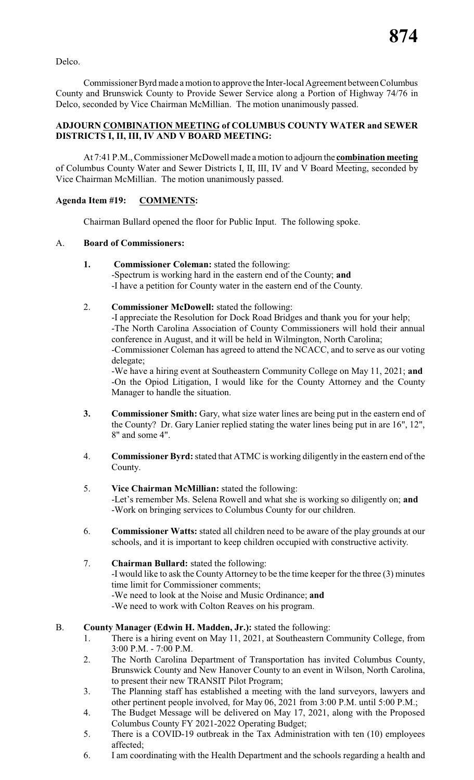Delco.

Commissioner Byrd made a motion to approve the Inter-local Agreement between Columbus County and Brunswick County to Provide Sewer Service along a Portion of Highway 74/76 in Delco, seconded by Vice Chairman McMillian. The motion unanimously passed.

# **ADJOURN COMBINATION MEETING of COLUMBUS COUNTY WATER and SEWER DISTRICTS I, II, III, IV AND V BOARD MEETING:**

At 7:41 P.M., Commissioner McDowell made a motion to adjourn the **combination meeting** of Columbus County Water and Sewer Districts I, II, III, IV and V Board Meeting, seconded by Vice Chairman McMillian. The motion unanimously passed.

# **Agenda Item #19: COMMENTS:**

Chairman Bullard opened the floor for Public Input. The following spoke.

# A. **Board of Commissioners:**

- **1. Commissioner Coleman:** stated the following: -Spectrum is working hard in the eastern end of the County; **and** -I have a petition for County water in the eastern end of the County.
- 2. **Commissioner McDowell:** stated the following:

-I appreciate the Resolution for Dock Road Bridges and thank you for your help; -The North Carolina Association of County Commissioners will hold their annual conference in August, and it will be held in Wilmington, North Carolina; -Commissioner Coleman has agreed to attend the NCACC, and to serve as our voting delegate;

-We have a hiring event at Southeastern Community College on May 11, 2021; **and** -On the Opiod Litigation, I would like for the County Attorney and the County Manager to handle the situation.

- **3. Commissioner Smith:** Gary, what size water lines are being put in the eastern end of the County? Dr. Gary Lanier replied stating the water lines being put in are 16", 12", 8" and some 4".
- 4. **Commissioner Byrd:**stated that ATMC is working diligently in the eastern end of the County.
- 5. **Vice Chairman McMillian:** stated the following: -Let's remember Ms. Selena Rowell and what she is working so diligently on; **and** -Work on bringing services to Columbus County for our children.
- 6. **Commissioner Watts:** stated all children need to be aware of the play grounds at our schools, and it is important to keep children occupied with constructive activity.
- 7. **Chairman Bullard:** stated the following: -I would like to ask the County Attorney to be the time keeper for the three (3) minutes time limit for Commissioner comments; -We need to look at the Noise and Music Ordinance; **and** -We need to work with Colton Reaves on his program.
- B. **County Manager (Edwin H. Madden, Jr.):** stated the following:
	- 1. There is a hiring event on May 11, 2021, at Southeastern Community College, from 3:00 P.M. - 7:00 P.M.
	- 2. The North Carolina Department of Transportation has invited Columbus County, Brunswick County and New Hanover County to an event in Wilson, North Carolina, to present their new TRANSIT Pilot Program;
	- 3. The Planning staff has established a meeting with the land surveyors, lawyers and other pertinent people involved, for May 06, 2021 from 3:00 P.M. until 5:00 P.M.;
	- 4. The Budget Message will be delivered on May 17, 2021, along with the Proposed Columbus County FY 2021-2022 Operating Budget;
	- 5. There is a COVID-19 outbreak in the Tax Administration with ten (10) employees affected;
	- 6. I am coordinating with the Health Department and the schools regarding a health and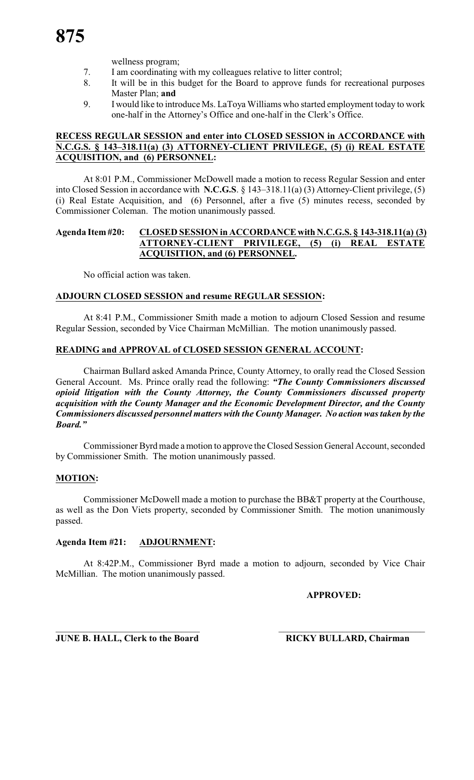wellness program;

- 7. I am coordinating with my colleagues relative to litter control;
- 8. It will be in this budget for the Board to approve funds for recreational purposes Master Plan; **and**
- 9. I would like to introduce Ms. LaToya Williams who started employment today to work one-half in the Attorney's Office and one-half in the Clerk's Office.

#### **RECESS REGULAR SESSION and enter into CLOSED SESSION in ACCORDANCE with N.C.G.S. § 143–318.11(a) (3) ATTORNEY-CLIENT PRIVILEGE, (5) (i) REAL ESTATE ACQUISITION, and (6) PERSONNEL:**

At 8:01 P.M., Commissioner McDowell made a motion to recess Regular Session and enter into Closed Session in accordance with **N.C.G.S**. § 143–318.11(a) (3) Attorney-Client privilege, (5) (i) Real Estate Acquisition, and (6) Personnel, after a five (5) minutes recess, seconded by Commissioner Coleman. The motion unanimously passed.

# **Agenda Item #20: CLOSED SESSION in ACCORDANCE with N.C.G.S. § 143-318.11(a) (3) ATTORNEY-CLIENT PRIVILEGE, (5) (i) REAL ESTATE ACQUISITION, and (6) PERSONNEL.**

No official action was taken.

# **ADJOURN CLOSED SESSION and resume REGULAR SESSION:**

At 8:41 P.M., Commissioner Smith made a motion to adjourn Closed Session and resume Regular Session, seconded by Vice Chairman McMillian. The motion unanimously passed.

# **READING and APPROVAL of CLOSED SESSION GENERAL ACCOUNT:**

Chairman Bullard asked Amanda Prince, County Attorney, to orally read the Closed Session General Account. Ms. Prince orally read the following: *"The County Commissioners discussed opioid litigation with the County Attorney, the County Commissioners discussed property acquisition with the County Manager and the Economic Development Director, and the County Commissioners discussed personnel matters with the County Manager. No action was taken by the Board."*

Commissioner Byrd made amotion to approve the Closed Session General Account, seconded by Commissioner Smith. The motion unanimously passed.

# **MOTION:**

Commissioner McDowell made a motion to purchase the BB&T property at the Courthouse, as well as the Don Viets property, seconded by Commissioner Smith. The motion unanimously passed.

#### **Agenda Item #21: ADJOURNMENT:**

At 8:42P.M., Commissioner Byrd made a motion to adjourn, seconded by Vice Chair McMillian. The motion unanimously passed.

**APPROVED:**

 $\overline{\phantom{a}}$  , and the contribution of the contribution of the contribution of the contribution of the contribution of the contribution of the contribution of the contribution of the contribution of the contribution of the **JUNE B. HALL, Clerk to the Board RICKY BULLARD, Chairman**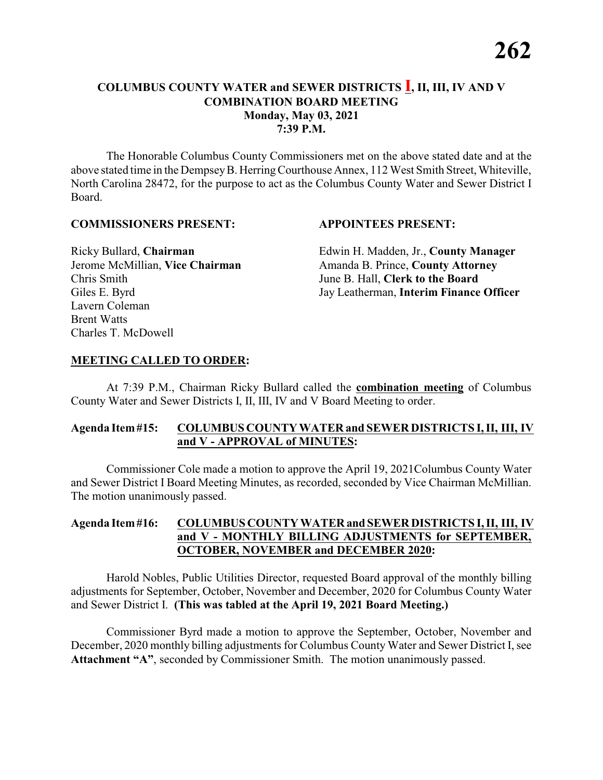The Honorable Columbus County Commissioners met on the above stated date and at the above stated time in the DempseyB. HerringCourthouse Annex, 112 West Smith Street, Whiteville, North Carolina 28472, for the purpose to act as the Columbus County Water and Sewer District I Board.

#### **COMMISSIONERS PRESENT: APPOINTEES PRESENT:**

Chris Smith June B. Hall, **Clerk to the Board** Lavern Coleman Brent Watts Charles T. McDowell

Ricky Bullard, **Chairman** Edwin H. Madden, Jr., **County Manager** Jerome McMillian, Vice Chairman Amanda B. Prince, County Attorney Giles E. Byrd Jay Leatherman, **Interim Finance Officer** 

#### **MEETING CALLED TO ORDER:**

At 7:39 P.M., Chairman Ricky Bullard called the **combination meeting** of Columbus County Water and Sewer Districts I, II, III, IV and V Board Meeting to order.

#### **Agenda Item#15: COLUMBUS COUNTY WATER and SEWER DISTRICTS I, II, III, IV and V - APPROVAL of MINUTES:**

Commissioner Cole made a motion to approve the April 19, 2021Columbus County Water and Sewer District I Board Meeting Minutes, as recorded, seconded by Vice Chairman McMillian. The motion unanimously passed.

#### **Agenda Item#16: COLUMBUS COUNTY WATERand SEWER DISTRICTS I, II, III, IV and V - MONTHLY BILLING ADJUSTMENTS for SEPTEMBER, OCTOBER, NOVEMBER and DECEMBER 2020:**

Harold Nobles, Public Utilities Director, requested Board approval of the monthly billing adjustments for September, October, November and December, 2020 for Columbus County Water and Sewer District I. **(This was tabled at the April 19, 2021 Board Meeting.)**

Commissioner Byrd made a motion to approve the September, October, November and December, 2020 monthly billing adjustments for Columbus County Water and Sewer District I, see **Attachment "A"**, seconded by Commissioner Smith. The motion unanimously passed.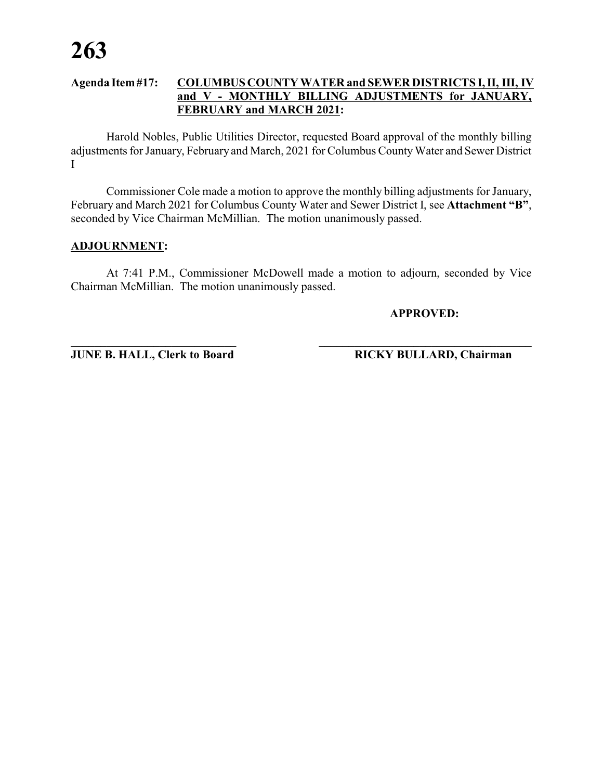Harold Nobles, Public Utilities Director, requested Board approval of the monthly billing adjustments for January, February and March, 2021 for Columbus CountyWater and Sewer District I

Commissioner Cole made a motion to approve the monthly billing adjustments for January, February and March 2021 for Columbus County Water and Sewer District I, see **Attachment "B"**, seconded by Vice Chairman McMillian. The motion unanimously passed.

#### **ADJOURNMENT:**

At 7:41 P.M., Commissioner McDowell made a motion to adjourn, seconded by Vice Chairman McMillian. The motion unanimously passed.

**APPROVED:**

**JUNE B. HALL, Clerk to Board RICKY BULLARD, Chairman**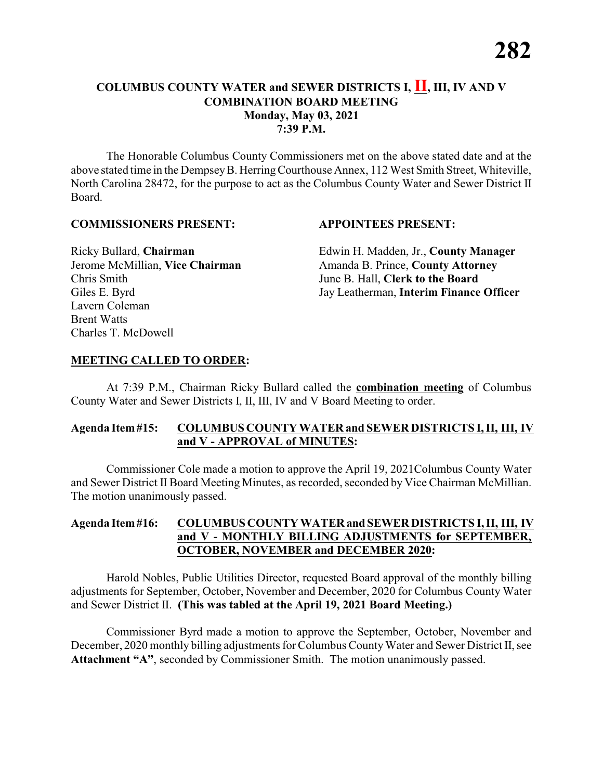The Honorable Columbus County Commissioners met on the above stated date and at the above stated time in the DempseyB. HerringCourthouse Annex, 112 West Smith Street, Whiteville, North Carolina 28472, for the purpose to act as the Columbus County Water and Sewer District II Board.

#### **COMMISSIONERS PRESENT: APPOINTEES PRESENT:**

Chris Smith June B. Hall, **Clerk to the Board** Lavern Coleman Brent Watts Charles T. McDowell

Ricky Bullard, **Chairman** Edwin H. Madden, Jr., **County Manager** Jerome McMillian, Vice Chairman Amanda B. Prince, County Attorney Giles E. Byrd Jay Leatherman, **Interim Finance Officer** 

#### **MEETING CALLED TO ORDER:**

At 7:39 P.M., Chairman Ricky Bullard called the **combination meeting** of Columbus County Water and Sewer Districts I, II, III, IV and V Board Meeting to order.

#### **Agenda Item#15: COLUMBUS COUNTY WATER and SEWER DISTRICTS I, II, III, IV and V - APPROVAL of MINUTES:**

Commissioner Cole made a motion to approve the April 19, 2021Columbus County Water and Sewer District II Board Meeting Minutes, as recorded, seconded by Vice Chairman McMillian. The motion unanimously passed.

#### **Agenda Item#16: COLUMBUS COUNTY WATERand SEWER DISTRICTS I, II, III, IV and V - MONTHLY BILLING ADJUSTMENTS for SEPTEMBER, OCTOBER, NOVEMBER and DECEMBER 2020:**

Harold Nobles, Public Utilities Director, requested Board approval of the monthly billing adjustments for September, October, November and December, 2020 for Columbus County Water and Sewer District II. **(This was tabled at the April 19, 2021 Board Meeting.)**

Commissioner Byrd made a motion to approve the September, October, November and December, 2020 monthly billing adjustments for Columbus County Water and Sewer District II, see **Attachment "A"**, seconded by Commissioner Smith. The motion unanimously passed.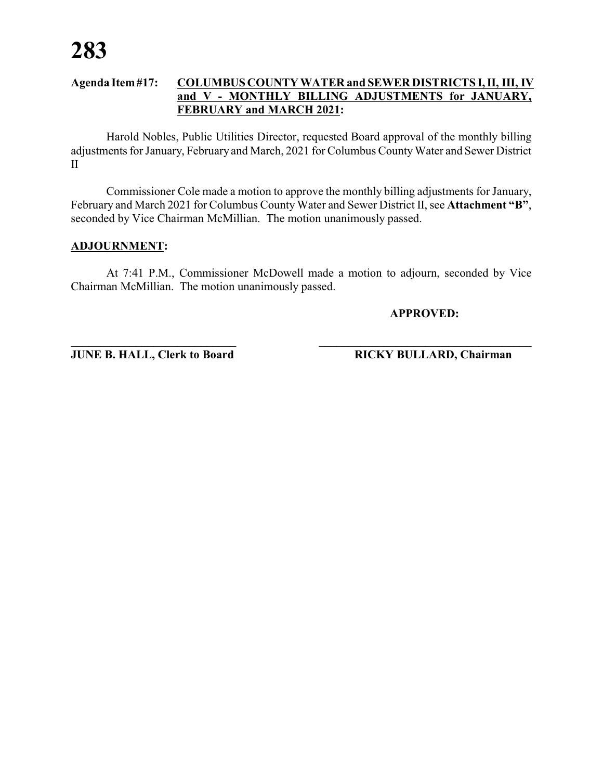Harold Nobles, Public Utilities Director, requested Board approval of the monthly billing adjustments for January, February and March, 2021 for Columbus CountyWater and Sewer District II

Commissioner Cole made a motion to approve the monthly billing adjustments for January, February and March 2021 for Columbus County Water and Sewer District II, see **Attachment "B"**, seconded by Vice Chairman McMillian. The motion unanimously passed.

#### **ADJOURNMENT:**

At 7:41 P.M., Commissioner McDowell made a motion to adjourn, seconded by Vice Chairman McMillian. The motion unanimously passed.

**APPROVED:**

**JUNE B. HALL, Clerk to Board RICKY BULLARD, Chairman**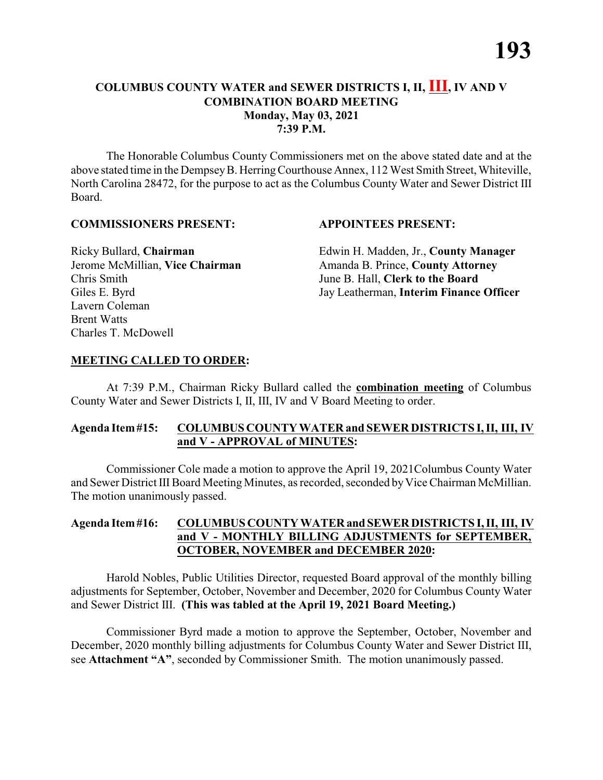The Honorable Columbus County Commissioners met on the above stated date and at the above stated time in the DempseyB. HerringCourthouse Annex, 112 West Smith Street, Whiteville, North Carolina 28472, for the purpose to act as the Columbus County Water and Sewer District III Board.

#### **COMMISSIONERS PRESENT: APPOINTEES PRESENT:**

Chris Smith June B. Hall, **Clerk to the Board** Lavern Coleman Brent Watts Charles T. McDowell

Ricky Bullard, **Chairman** Edwin H. Madden, Jr., **County Manager** Jerome McMillian, Vice Chairman Amanda B. Prince, County Attorney Giles E. Byrd Jay Leatherman, **Interim Finance Officer** 

#### **MEETING CALLED TO ORDER:**

At 7:39 P.M., Chairman Ricky Bullard called the **combination meeting** of Columbus County Water and Sewer Districts I, II, III, IV and V Board Meeting to order.

#### **Agenda Item#15: COLUMBUS COUNTY WATER and SEWER DISTRICTS I, II, III, IV and V - APPROVAL of MINUTES:**

Commissioner Cole made a motion to approve the April 19, 2021Columbus County Water and Sewer District III Board Meeting Minutes, as recorded, seconded by Vice Chairman McMillian. The motion unanimously passed.

#### **Agenda Item#16: COLUMBUS COUNTY WATERand SEWER DISTRICTS I, II, III, IV and V - MONTHLY BILLING ADJUSTMENTS for SEPTEMBER, OCTOBER, NOVEMBER and DECEMBER 2020:**

Harold Nobles, Public Utilities Director, requested Board approval of the monthly billing adjustments for September, October, November and December, 2020 for Columbus County Water and Sewer District III. **(This was tabled at the April 19, 2021 Board Meeting.)**

Commissioner Byrd made a motion to approve the September, October, November and December, 2020 monthly billing adjustments for Columbus County Water and Sewer District III, see **Attachment "A"**, seconded by Commissioner Smith. The motion unanimously passed.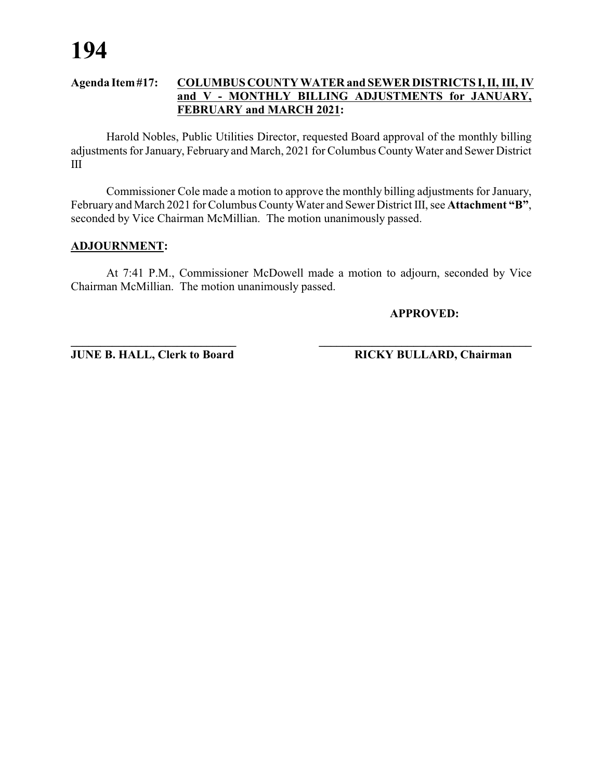Harold Nobles, Public Utilities Director, requested Board approval of the monthly billing adjustments for January, February and March, 2021 for Columbus CountyWater and Sewer District III

Commissioner Cole made a motion to approve the monthly billing adjustments for January, February and March 2021 for Columbus County Water and Sewer District III, see Attachment "B", seconded by Vice Chairman McMillian. The motion unanimously passed.

#### **ADJOURNMENT:**

At 7:41 P.M., Commissioner McDowell made a motion to adjourn, seconded by Vice Chairman McMillian. The motion unanimously passed.

**APPROVED:**

**JUNE B. HALL, Clerk to Board RICKY BULLARD, Chairman**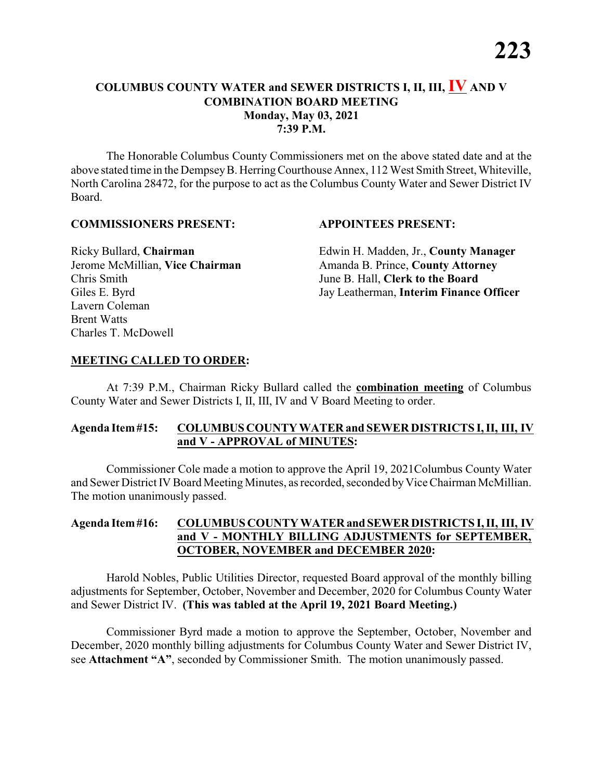The Honorable Columbus County Commissioners met on the above stated date and at the above stated time in the DempseyB. HerringCourthouse Annex, 112 West Smith Street, Whiteville, North Carolina 28472, for the purpose to act as the Columbus County Water and Sewer District IV Board.

#### **COMMISSIONERS PRESENT: APPOINTEES PRESENT:**

Chris Smith June B. Hall, **Clerk to the Board** Lavern Coleman Brent Watts Charles T. McDowell

Ricky Bullard, **Chairman** Edwin H. Madden, Jr., **County Manager** Jerome McMillian, Vice Chairman Amanda B. Prince, County Attorney Giles E. Byrd Jay Leatherman, **Interim Finance Officer** 

#### **MEETING CALLED TO ORDER:**

At 7:39 P.M., Chairman Ricky Bullard called the **combination meeting** of Columbus County Water and Sewer Districts I, II, III, IV and V Board Meeting to order.

#### **Agenda Item#15: COLUMBUS COUNTY WATER and SEWER DISTRICTS I, II, III, IV and V - APPROVAL of MINUTES:**

Commissioner Cole made a motion to approve the April 19, 2021Columbus County Water and Sewer District IV Board Meeting Minutes, as recorded, seconded by Vice Chairman McMillian. The motion unanimously passed.

#### **Agenda Item#16: COLUMBUS COUNTY WATERand SEWER DISTRICTS I, II, III, IV and V - MONTHLY BILLING ADJUSTMENTS for SEPTEMBER, OCTOBER, NOVEMBER and DECEMBER 2020:**

Harold Nobles, Public Utilities Director, requested Board approval of the monthly billing adjustments for September, October, November and December, 2020 for Columbus County Water and Sewer District IV. **(This was tabled at the April 19, 2021 Board Meeting.)**

Commissioner Byrd made a motion to approve the September, October, November and December, 2020 monthly billing adjustments for Columbus County Water and Sewer District IV, see **Attachment "A"**, seconded by Commissioner Smith. The motion unanimously passed.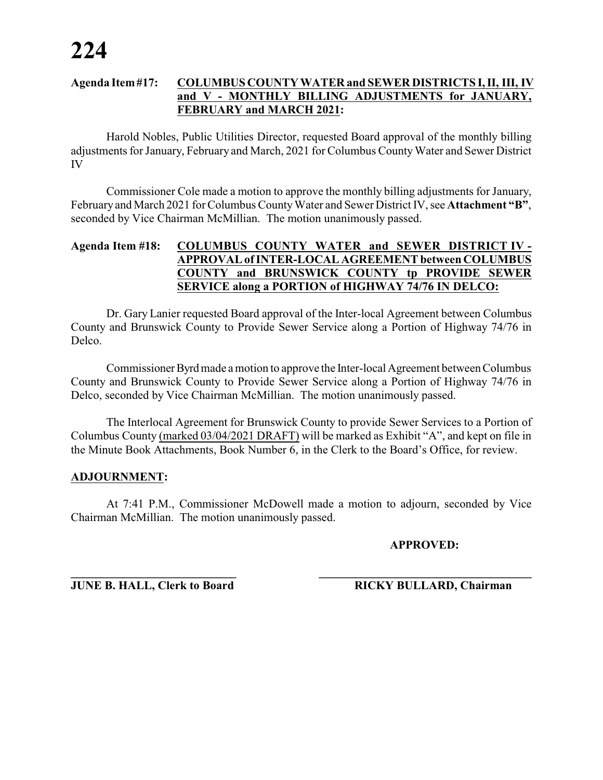Harold Nobles, Public Utilities Director, requested Board approval of the monthly billing adjustments for January, February and March, 2021 for Columbus CountyWater and Sewer District IV

Commissioner Cole made a motion to approve the monthly billing adjustments for January, February and March 2021 for Columbus County Water and Sewer District IV, see Attachment "B", seconded by Vice Chairman McMillian. The motion unanimously passed.

#### **Agenda Item #18: COLUMBUS COUNTY WATER and SEWER DISTRICT IV - APPROVAL ofINTER-LOCAL AGREEMENT between COLUMBUS COUNTY and BRUNSWICK COUNTY tp PROVIDE SEWER SERVICE along a PORTION of HIGHWAY 74/76 IN DELCO:**

Dr. Gary Lanier requested Board approval of the Inter-local Agreement between Columbus County and Brunswick County to Provide Sewer Service along a Portion of Highway 74/76 in Delco.

CommissionerByrdmade amotion to approve the Inter-local Agreement between Columbus County and Brunswick County to Provide Sewer Service along a Portion of Highway 74/76 in Delco, seconded by Vice Chairman McMillian. The motion unanimously passed.

The Interlocal Agreement for Brunswick County to provide Sewer Services to a Portion of Columbus County (marked 03/04/2021 DRAFT) will be marked as Exhibit "A", and kept on file in the Minute Book Attachments, Book Number 6, in the Clerk to the Board's Office, for review.

### **ADJOURNMENT:**

At 7:41 P.M., Commissioner McDowell made a motion to adjourn, seconded by Vice Chairman McMillian. The motion unanimously passed.

#### **APPROVED:**

**JUNE B. HALL, Clerk to Board RICKY BULLARD, Chairman**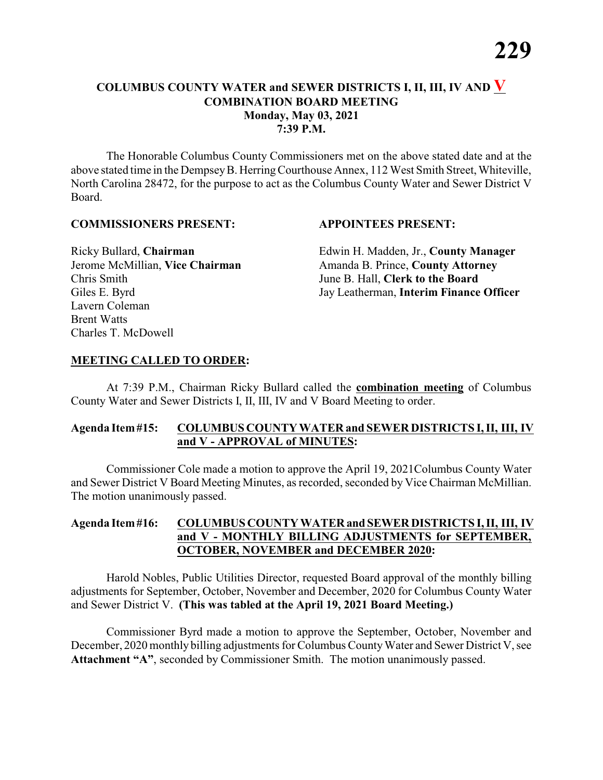The Honorable Columbus County Commissioners met on the above stated date and at the above stated time in the DempseyB. HerringCourthouse Annex, 112 West Smith Street, Whiteville, North Carolina 28472, for the purpose to act as the Columbus County Water and Sewer District V Board.

#### **COMMISSIONERS PRESENT: APPOINTEES PRESENT:**

Chris Smith June B. Hall, **Clerk to the Board** Lavern Coleman Brent Watts Charles T. McDowell

Ricky Bullard, **Chairman** Edwin H. Madden, Jr., **County Manager** Jerome McMillian, Vice Chairman Amanda B. Prince, County Attorney Giles E. Byrd Jay Leatherman, **Interim Finance Officer** 

#### **MEETING CALLED TO ORDER:**

At 7:39 P.M., Chairman Ricky Bullard called the **combination meeting** of Columbus County Water and Sewer Districts I, II, III, IV and V Board Meeting to order.

#### **Agenda Item#15: COLUMBUS COUNTY WATER and SEWER DISTRICTS I, II, III, IV and V - APPROVAL of MINUTES:**

Commissioner Cole made a motion to approve the April 19, 2021Columbus County Water and Sewer District V Board Meeting Minutes, as recorded, seconded by Vice Chairman McMillian. The motion unanimously passed.

#### **Agenda Item#16: COLUMBUS COUNTY WATERand SEWER DISTRICTS I, II, III, IV and V - MONTHLY BILLING ADJUSTMENTS for SEPTEMBER, OCTOBER, NOVEMBER and DECEMBER 2020:**

Harold Nobles, Public Utilities Director, requested Board approval of the monthly billing adjustments for September, October, November and December, 2020 for Columbus County Water and Sewer District V. **(This was tabled at the April 19, 2021 Board Meeting.)**

Commissioner Byrd made a motion to approve the September, October, November and December, 2020 monthly billing adjustments for Columbus CountyWater and Sewer District V, see **Attachment "A"**, seconded by Commissioner Smith. The motion unanimously passed.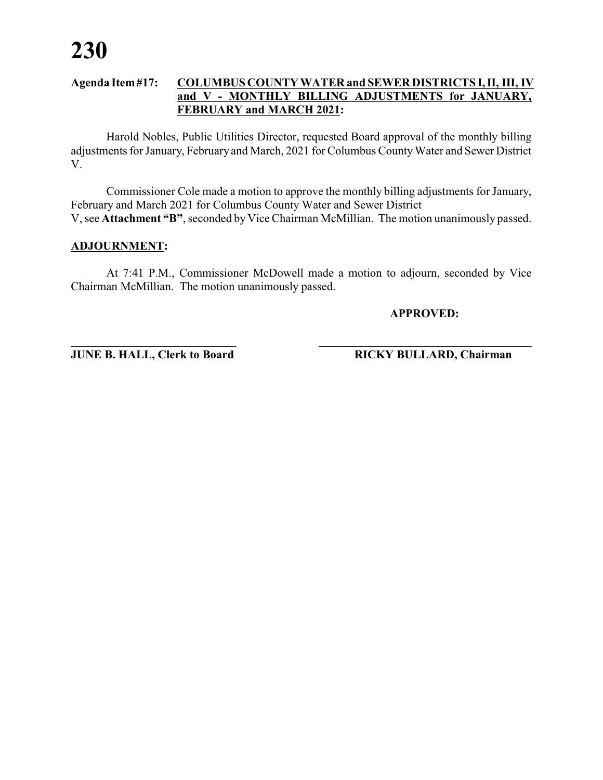Harold Nobles, Public Utilities Director, requested Board approval of the monthly billing adjustments for January, February and March, 2021 for Columbus CountyWater and Sewer District V.

Commissioner Cole made a motion to approve the monthly billing adjustments for January, February and March 2021 for Columbus County Water and Sewer District V, see **Attachment "B"**, seconded by Vice Chairman McMillian. The motion unanimously passed.

#### **ADJOURNMENT:**

At 7:41 P.M., Commissioner McDowell made a motion to adjourn, seconded by Vice Chairman McMillian. The motion unanimously passed.

**APPROVED:**

**JUNE B. HALL, Clerk to Board RICKY BULLARD, Chairman**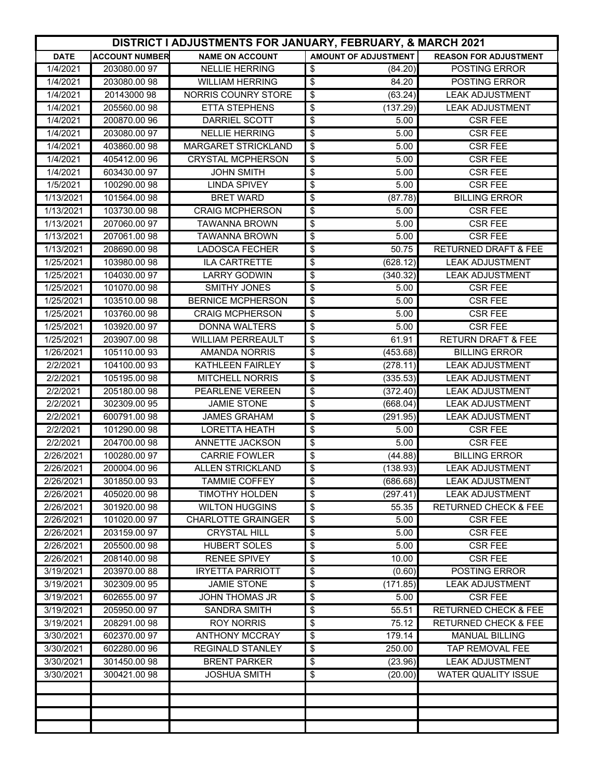|             | <b>DISTRICT I ADJUSTMENTS FOR JANUARY, FEBRUARY, &amp; MARCH 2021</b> |                            |                                              |                                 |
|-------------|-----------------------------------------------------------------------|----------------------------|----------------------------------------------|---------------------------------|
| <b>DATE</b> | <b>ACCOUNT NUMBER</b>                                                 | <b>NAME ON ACCOUNT</b>     | AMOUNT OF ADJUSTMENT                         | <b>REASON FOR ADJUSTMENT</b>    |
| 1/4/2021    | 203080.00 97                                                          | <b>NELLIE HERRING</b>      | \$<br>(84.20)                                | POSTING ERROR                   |
| 1/4/2021    | 203080.00 98                                                          | <b>WILLIAM HERRING</b>     | \$<br>84.20                                  | POSTING ERROR                   |
| 1/4/2021    | 20143000 98                                                           | NORRIS COUNRY STORE        | \$<br>$\sqrt{63.24}$                         | <b>LEAK ADJUSTMENT</b>          |
| 1/4/2021    | 205560.00 98                                                          | <b>ETTA STEPHENS</b>       | \$<br>(137.29)                               | <b>LEAK ADJUSTMENT</b>          |
| 1/4/2021    | 200870.00 96                                                          | DARRIEL SCOTT              | \$<br>5.00                                   | <b>CSR FEE</b>                  |
| 1/4/2021    | 203080.00 97                                                          | <b>NELLIE HERRING</b>      | \$<br>5.00                                   | <b>CSR FEE</b>                  |
| 1/4/2021    | 403860.0098                                                           | <b>MARGARET STRICKLAND</b> | \$<br>5.00                                   | <b>CSR FEE</b>                  |
| 1/4/2021    | 405412.00 96                                                          | <b>CRYSTAL MCPHERSON</b>   | \$<br>5.00                                   | <b>CSR FEE</b>                  |
| 1/4/2021    | 603430.00 97                                                          | <b>JOHN SMITH</b>          | \$<br>5.00                                   | <b>CSR FEE</b>                  |
| 1/5/2021    | 100290.00 98                                                          | <b>LINDA SPIVEY</b>        | \$<br>5.00                                   | <b>CSR FEE</b>                  |
| 1/13/2021   | 101564.0098                                                           | <b>BRET WARD</b>           | \$<br>(87.78)                                | <b>BILLING ERROR</b>            |
| 1/13/2021   | 103730.00 98                                                          | <b>CRAIG MCPHERSON</b>     | \$<br>5.00                                   | <b>CSR FEE</b>                  |
| 1/13/2021   | 207060.00 97                                                          | <b>TAWANNA BROWN</b>       | \$<br>5.00                                   | <b>CSR FEE</b>                  |
| 1/13/2021   | 207061.00 98                                                          | <b>TAWANNA BROWN</b>       | \$<br>5.00                                   | <b>CSR FEE</b>                  |
| 1/13/2021   | 208690.00 98                                                          | <b>LADOSCA FECHER</b>      | \$<br>50.75                                  | <b>RETURNED DRAFT &amp; FEE</b> |
| 1/25/2021   | 103980.0098                                                           | <b>ILA CARTRETTE</b>       | \$<br>(628.12)                               | <b>LEAK ADJUSTMENT</b>          |
| 1/25/2021   | 104030.00 97                                                          | <b>LARRY GODWIN</b>        | \$<br>(340.32)                               | <b>LEAK ADJUSTMENT</b>          |
| 1/25/2021   | 101070.00 98                                                          | <b>SMITHY JONES</b>        | $\overline{\boldsymbol{\theta}}$<br>5.00     | <b>CSR FEE</b>                  |
| 1/25/2021   | 103510.00 98                                                          | <b>BERNICE MCPHERSON</b>   | \$<br>5.00                                   | <b>CSR FEE</b>                  |
| 1/25/2021   | 103760.0098                                                           | <b>CRAIG MCPHERSON</b>     | \$<br>5.00                                   | <b>CSR FEE</b>                  |
| 1/25/2021   | 103920.00 97                                                          | <b>DONNA WALTERS</b>       | \$<br>5.00                                   | <b>CSR FEE</b>                  |
| 1/25/2021   | 203907.00 98                                                          | <b>WILLIAM PERREAULT</b>   | \$<br>61.91                                  | <b>RETURN DRAFT &amp; FEE</b>   |
| 1/26/2021   | 105110.00 93                                                          | <b>AMANDA NORRIS</b>       | \$<br>(453.68)                               | <b>BILLING ERROR</b>            |
| 2/2/2021    | 104100.00 93                                                          | KATHLEEN FAIRLEY           | \$<br>(278.11)                               | <b>LEAK ADJUSTMENT</b>          |
| 2/2/2021    | 105195.00 98                                                          | <b>MITCHELL NORRIS</b>     | \$<br>(335.53)                               | <b>LEAK ADJUSTMENT</b>          |
| 2/2/2021    | 205180.00 98                                                          | PEARLENE VEREEN            | \$<br>(372.40)                               | <b>LEAK ADJUSTMENT</b>          |
| 2/2/2021    | 302309.00 95                                                          | <b>JAMIE STONE</b>         | $\overline{\boldsymbol{\theta}}$<br>(668.04) | <b>LEAK ADJUSTMENT</b>          |
| 2/2/2021    | 600791.00 98                                                          | <b>JAMES GRAHAM</b>        | \$<br>(291.95)                               | <b>LEAK ADJUSTMENT</b>          |
| 2/2/2021    | 101290.00 98                                                          | <b>LORETTA HEATH</b>       | \$<br>5.00                                   | <b>CSR FEE</b>                  |
| 2/2/2021    | 204700.00 98                                                          | ANNETTE JACKSON            | \$<br>5.00                                   | <b>CSR FEE</b>                  |
| 2/26/2021   | 100280.00 97                                                          | <b>CARRIE FOWLER</b>       | \$<br>(44.88)                                | <b>BILLING ERROR</b>            |
| 2/26/2021   | 200004.00 96                                                          | <b>ALLEN STRICKLAND</b>    | \$<br>(138.93)                               | <b>LEAK ADJUSTMENT</b>          |
| 2/26/2021   | 301850.0093                                                           | <b>TAMMIE COFFEY</b>       | \$<br>(686.68)                               | <b>LEAK ADJUSTMENT</b>          |
| 2/26/2021   | 405020.00 98                                                          | TIMOTHY HOLDEN             | \$<br>(297.41)                               | <b>LEAK ADJUSTMENT</b>          |
| 2/26/2021   | 301920.0098                                                           | <b>WILTON HUGGINS</b>      | \$<br>55.35                                  | <b>RETURNED CHECK &amp; FEE</b> |
| 2/26/2021   | 101020.00 97                                                          | <b>CHARLOTTE GRAINGER</b>  | \$<br>5.00                                   | <b>CSR FEE</b>                  |
| 2/26/2021   | 203159.00 97                                                          | <b>CRYSTAL HILL</b>        | \$<br>5.00                                   | <b>CSR FEE</b>                  |
| 2/26/2021   | 205500.00 98                                                          | <b>HUBERT SOLES</b>        | \$<br>5.00                                   | <b>CSR FEE</b>                  |
| 2/26/2021   | 208140.0098                                                           | <b>RENEE SPIVEY</b>        | \$<br>10.00                                  | <b>CSR FEE</b>                  |
| 3/19/2021   | 203970.00 88                                                          | <b>IRYETTA PARRIOTT</b>    | \$<br>(0.60)                                 | POSTING ERROR                   |
| 3/19/2021   | 302309.00 95                                                          | <b>JAMIE STONE</b>         | \$<br>(171.85)                               | <b>LEAK ADJUSTMENT</b>          |
| 3/19/2021   | 602655.00 97                                                          | <b>JOHN THOMAS JR</b>      | \$<br>5.00                                   | <b>CSR FEE</b>                  |
| 3/19/2021   | 205950.00 97                                                          | <b>SANDRA SMITH</b>        | \$<br>55.51                                  | <b>RETURNED CHECK &amp; FEE</b> |
| 3/19/2021   | 208291.00 98                                                          | <b>ROY NORRIS</b>          | \$<br>75.12                                  | <b>RETURNED CHECK &amp; FEE</b> |
| 3/30/2021   | 602370.00 97                                                          | <b>ANTHONY MCCRAY</b>      | \$<br>179.14                                 | <b>MANUAL BILLING</b>           |
| 3/30/2021   | 602280.00 96                                                          | <b>REGINALD STANLEY</b>    | \$<br>250.00                                 | TAP REMOVAL FEE                 |
| 3/30/2021   | 301450.0098                                                           | <b>BRENT PARKER</b>        | \$<br>(23.96)                                | <b>LEAK ADJUSTMENT</b>          |
| 3/30/2021   | 300421.00 98                                                          | <b>JOSHUA SMITH</b>        | \$<br>(20.00)                                | <b>WATER QUALITY ISSUE</b>      |
|             |                                                                       |                            |                                              |                                 |
|             |                                                                       |                            |                                              |                                 |
|             |                                                                       |                            |                                              |                                 |
|             |                                                                       |                            |                                              |                                 |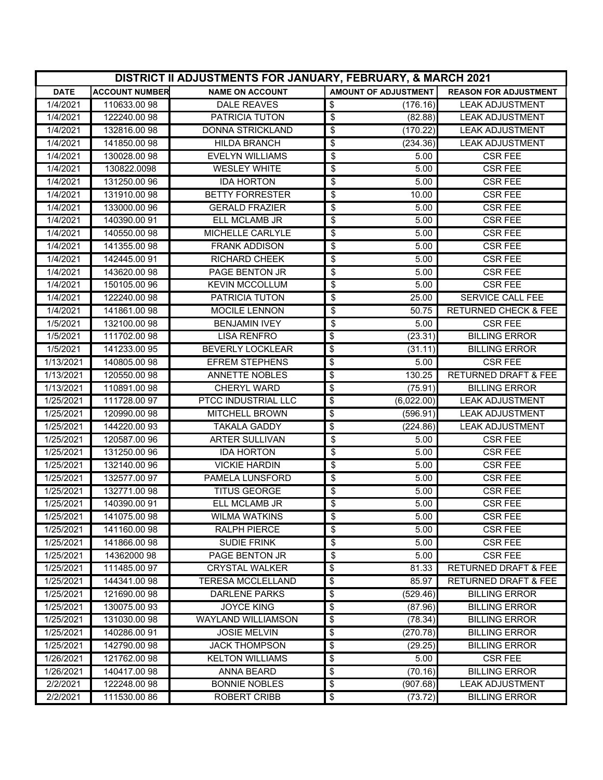|             | <b>DISTRICT II ADJUSTMENTS FOR JANUARY, FEBRUARY, &amp; MARCH 2021</b> |                           |                                             |                                        |  |
|-------------|------------------------------------------------------------------------|---------------------------|---------------------------------------------|----------------------------------------|--|
| <b>DATE</b> | <b>ACCOUNT NUMBER</b>                                                  | <b>NAME ON ACCOUNT</b>    | <b>AMOUNT OF ADJUSTMENT</b>                 | <b>REASON FOR ADJUSTMENT</b>           |  |
| 1/4/2021    | 110633.0098                                                            | <b>DALE REAVES</b>        | \$<br>(176.16)                              | <b>LEAK ADJUSTMENT</b>                 |  |
| 1/4/2021    | 122240.00 98                                                           | <b>PATRICIA TUTON</b>     | \$<br>(82.88)                               | <b>LEAK ADJUSTMENT</b>                 |  |
| 1/4/2021    | 132816.00 98                                                           | DONNA STRICKLAND          | \$<br>(170.22)                              | <b>LEAK ADJUSTMENT</b>                 |  |
| 1/4/2021    | 141850.00 98                                                           | <b>HILDA BRANCH</b>       | \$<br>(234.36)                              | <b>LEAK ADJUSTMENT</b>                 |  |
| 1/4/2021    | 130028.00 98                                                           | <b>EVELYN WILLIAMS</b>    | \$<br>5.00                                  | <b>CSR FEE</b>                         |  |
| 1/4/2021    | 130822.0098                                                            | <b>WESLEY WHITE</b>       | \$<br>5.00                                  | <b>CSR FEE</b>                         |  |
| 1/4/2021    | 131250.00 96                                                           | <b>IDA HORTON</b>         | \$<br>5.00                                  | <b>CSR FEE</b>                         |  |
| 1/4/2021    | 131910.00 98                                                           | <b>BETTY FORRESTER</b>    | \$<br>10.00                                 | <b>CSR FEE</b>                         |  |
| 1/4/2021    | 133000.00 96                                                           | <b>GERALD FRAZIER</b>     | \$<br>5.00                                  | <b>CSR FEE</b>                         |  |
| 1/4/2021    | 140390.0091                                                            | ELL MCLAMB JR             | \$<br>5.00                                  | <b>CSR FEE</b>                         |  |
| 1/4/2021    | 140550.00 98                                                           | <b>MICHELLE CARLYLE</b>   | \$<br>5.00                                  | <b>CSR FEE</b>                         |  |
| 1/4/2021    | 141355.00 98                                                           | <b>FRANK ADDISON</b>      | \$<br>5.00                                  | <b>CSR FEE</b>                         |  |
| 1/4/2021    | 142445.0091                                                            | <b>RICHARD CHEEK</b>      | \$<br>5.00                                  | <b>CSR FEE</b>                         |  |
| 1/4/2021    | 143620.00 98                                                           | <b>PAGE BENTON JR</b>     | \$<br>5.00                                  | <b>CSR FEE</b>                         |  |
| 1/4/2021    | 150105.00 96                                                           | <b>KEVIN MCCOLLUM</b>     | \$<br>5.00                                  | <b>CSR FEE</b>                         |  |
| 1/4/2021    | 122240.00 98                                                           | PATRICIA TUTON            | \$<br>25.00                                 | <b>SERVICE CALL FEE</b>                |  |
| 1/4/2021    | 141861.0098                                                            | MOCILE LENNON             | \$<br>$\overline{50.75}$                    | <b>RETURNED CHECK &amp; FEE</b>        |  |
| 1/5/2021    | 132100.00 98                                                           | <b>BENJAMIN IVEY</b>      | \$<br>5.00                                  | <b>CSR FEE</b>                         |  |
| 1/5/2021    | 111702.00 98                                                           | <b>LISA RENFRO</b>        | $\overline{\boldsymbol{\theta}}$<br>(23.31) | <b>BILLING ERROR</b>                   |  |
| 1/5/2021    | 141233.0095                                                            | <b>BEVERLY LOCKLEAR</b>   | $\overline{\mathbf{e}}$<br>(31.11)          | <b>BILLING ERROR</b>                   |  |
| 1/13/2021   | 140805.00 98                                                           | <b>EFREM STEPHENS</b>     | \$<br>5.00                                  | <b>CSR FEE</b>                         |  |
| 1/13/2021   | 120550.00 98                                                           | <b>ANNETTE NOBLES</b>     | \$<br>130.25                                | <b>RETURNED DRAFT &amp; FEE</b>        |  |
| 1/13/2021   | 110891.00 98                                                           | CHERYL WARD               | \$<br>(75.91)                               | <b>BILLING ERROR</b>                   |  |
| 1/25/2021   | 111728.00 97                                                           | PTCC INDUSTRIAL LLC       | \$<br>(6,022.00)                            | <b>LEAK ADJUSTMENT</b>                 |  |
| 1/25/2021   | 120990.00 98                                                           | <b>MITCHELL BROWN</b>     | \$<br>(596.91)                              | <b>LEAK ADJUSTMENT</b>                 |  |
| 1/25/2021   | 144220.00 93                                                           | <b>TAKALA GADDY</b>       | $\overline{\mathbf{e}}$<br>(224.86)         | <b>LEAK ADJUSTMENT</b>                 |  |
| 1/25/2021   | 120587.00 96                                                           | <b>ARTER SULLIVAN</b>     | \$<br>5.00                                  | <b>CSR FEE</b>                         |  |
| 1/25/2021   | 131250.00 96                                                           | <b>IDA HORTON</b>         | \$<br>5.00                                  | <b>CSR FEE</b>                         |  |
| 1/25/2021   | 132140.00 96                                                           | <b>VICKIE HARDIN</b>      | \$<br>5.00                                  | <b>CSR FEE</b>                         |  |
| 1/25/2021   | 132577.00 97                                                           | PAMELA LUNSFORD           | \$<br>5.00                                  | <b>CSR FEE</b>                         |  |
| 1/25/2021   | 132771.00 98                                                           | <b>TITUS GEORGE</b>       | \$<br>5.00                                  | <b>CSR FEE</b>                         |  |
| 1/25/2021   | 140390.0091                                                            | <b>ELL MCLAMB JR</b>      | \$<br>5.00                                  | <b>CSR FEE</b>                         |  |
| 1/25/2021   | 141075.00 98                                                           | <b>WILMA WATKINS</b>      | \$<br>5.00                                  | <b>CSR FEE</b>                         |  |
| 1/25/2021   | 141160.0098                                                            | <b>RALPH PIERCE</b>       | \$<br>5.00                                  | <b>CSR FEE</b><br><b>CSR FEE</b>       |  |
| 1/25/2021   | 141866.0098                                                            | <b>SUDIE FRINK</b>        | \$<br>5.00                                  |                                        |  |
| 1/25/2021   | 14362000 98                                                            | PAGE BENTON JR            | \$<br>5.00                                  | <b>CSR FEE</b>                         |  |
| 1/25/2021   | 111485.0097                                                            | <b>CRYSTAL WALKER</b>     | \$<br>81.33                                 | RETURNED DRAFT & FEE                   |  |
| 1/25/2021   | 144341.0098                                                            | <b>TERESA MCCLELLAND</b>  | \$<br>85.97                                 | <b>RETURNED DRAFT &amp; FEE</b>        |  |
| 1/25/2021   | 121690.00 98                                                           | DARLENE PARKS             | \$<br>(529.46)                              | <b>BILLING ERROR</b>                   |  |
| 1/25/2021   | 130075.0093                                                            | <b>JOYCE KING</b>         | \$<br>(87.96)                               | <b>BILLING ERROR</b>                   |  |
| 1/25/2021   | 131030.0098                                                            | <b>WAYLAND WILLIAMSON</b> | \$<br>(78.34)                               | <b>BILLING ERROR</b>                   |  |
| 1/25/2021   | 140286.0091                                                            | <b>JOSIE MELVIN</b>       | \$<br>(270.78)                              | <b>BILLING ERROR</b>                   |  |
| 1/25/2021   | 142790.00 98                                                           | <b>JACK THOMPSON</b>      | \$<br>(29.25)                               | <b>BILLING ERROR</b>                   |  |
| 1/26/2021   | 121762.00 98<br>140417.0098                                            | <b>KELTON WILLIAMS</b>    | \$<br>5.00<br>(70.16)                       | <b>CSR FEE</b><br><b>BILLING ERROR</b> |  |
| 1/26/2021   |                                                                        | <b>ANNA BEARD</b>         | \$                                          | <b>LEAK ADJUSTMENT</b>                 |  |
| 2/2/2021    | 122248.00 98                                                           | <b>BONNIE NOBLES</b>      | \$<br>(907.68)                              |                                        |  |
| 2/2/2021    | 111530.0086                                                            | <b>ROBERT CRIBB</b>       | \$<br>(73.72)                               | <b>BILLING ERROR</b>                   |  |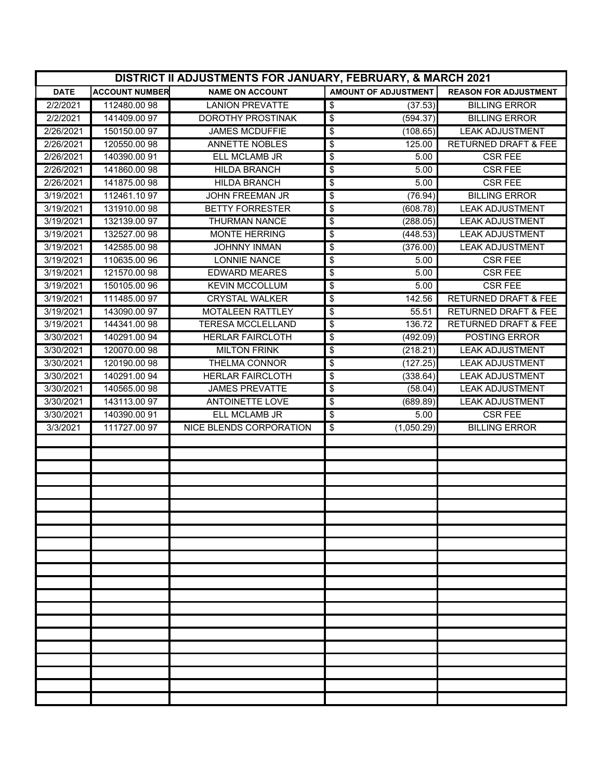|             | DISTRICT II ADJUSTMENTS FOR JANUARY, FEBRUARY, & MARCH 2021 |                          |                                              |                                 |  |  |
|-------------|-------------------------------------------------------------|--------------------------|----------------------------------------------|---------------------------------|--|--|
| <b>DATE</b> | <b>ACCOUNT NUMBER</b>                                       | <b>NAME ON ACCOUNT</b>   | <b>AMOUNT OF ADJUSTMENT</b>                  | <b>REASON FOR ADJUSTMENT</b>    |  |  |
| 2/2/2021    | 112480.0098                                                 | <b>LANION PREVATTE</b>   | $\overline{\mathbf{S}}$<br>(37.53)           | <b>BILLING ERROR</b>            |  |  |
| 2/2/2021    | 141409.0097                                                 | DOROTHY PROSTINAK        | $\overline{\mathbf{e}}$<br>(594.37)          | <b>BILLING ERROR</b>            |  |  |
| 2/26/2021   | 150150.00 97                                                | <b>JAMES MCDUFFIE</b>    | \$<br>(108.65)                               | <b>LEAK ADJUSTMENT</b>          |  |  |
| 2/26/2021   | 120550.00 98                                                | <b>ANNETTE NOBLES</b>    | \$<br>125.00                                 | <b>RETURNED DRAFT &amp; FEE</b> |  |  |
| 2/26/2021   | 140390.00 91                                                | ELL MCLAMB JR            | \$<br>5.00                                   | <b>CSR FEE</b>                  |  |  |
| 2/26/2021   | 141860.0098                                                 | <b>HILDA BRANCH</b>      | \$<br>5.00                                   | <b>CSR FEE</b>                  |  |  |
| 2/26/2021   | 141875.0098                                                 | <b>HILDA BRANCH</b>      | \$<br>5.00                                   | <b>CSR FEE</b>                  |  |  |
| 3/19/2021   | 112461.1097                                                 | <b>JOHN FREEMAN JR</b>   | \$<br>(76.94)                                | <b>BILLING ERROR</b>            |  |  |
| 3/19/2021   | 131910.00 98                                                | <b>BETTY FORRESTER</b>   | \$<br>(608.78)                               | <b>LEAK ADJUSTMENT</b>          |  |  |
| 3/19/2021   | 132139.0097                                                 | <b>THURMAN NANCE</b>     | \$<br>(288.05)                               | <b>LEAK ADJUSTMENT</b>          |  |  |
| 3/19/2021   | 132527.00 98                                                | <b>MONTE HERRING</b>     | \$<br>(448.53)                               | <b>LEAK ADJUSTMENT</b>          |  |  |
| 3/19/2021   | 142585.00 98                                                | <b>JOHNNY INMAN</b>      | \$<br>(376.00)                               | <b>LEAK ADJUSTMENT</b>          |  |  |
| 3/19/2021   | 110635.00 96                                                | <b>LONNIE NANCE</b>      | \$<br>5.00                                   | <b>CSR FEE</b>                  |  |  |
| 3/19/2021   | 121570.00 98                                                | <b>EDWARD MEARES</b>     | \$<br>5.00                                   | <b>CSR FEE</b>                  |  |  |
| 3/19/2021   | 150105.00 96                                                | <b>KEVIN MCCOLLUM</b>    | \$<br>5.00                                   | <b>CSR FEE</b>                  |  |  |
| 3/19/2021   | 111485.0097                                                 | <b>CRYSTAL WALKER</b>    | $\overline{\boldsymbol{\theta}}$<br>142.56   | <b>RETURNED DRAFT &amp; FEE</b> |  |  |
| 3/19/2021   | 143090.00 97                                                | <b>MOTALEEN RATTLEY</b>  | \$<br>55.51                                  | <b>RETURNED DRAFT &amp; FEE</b> |  |  |
| 3/19/2021   | 144341.0098                                                 | <b>TERESA MCCLELLAND</b> | $\overline{\mathbf{e}}$<br>136.72            | <b>RETURNED DRAFT &amp; FEE</b> |  |  |
| 3/30/2021   | 140291.0094                                                 | <b>HERLAR FAIRCLOTH</b>  | \$<br>(492.09)                               | POSTING ERROR                   |  |  |
| 3/30/2021   | 120070.00 98                                                | <b>MILTON FRINK</b>      | \$<br>(218.21)                               | <b>LEAK ADJUSTMENT</b>          |  |  |
| 3/30/2021   | 120190.00 98                                                | THELMA CONNOR            | $\overline{\mathbf{e}}$<br>(127.25)          | <b>LEAK ADJUSTMENT</b>          |  |  |
| 3/30/2021   | 140291.00 94                                                | <b>HERLAR FAIRCLOTH</b>  | \$<br>(338.64)                               | <b>LEAK ADJUSTMENT</b>          |  |  |
| 3/30/2021   | 140565.00 98                                                | <b>JAMES PREVATTE</b>    | \$<br>(58.04)                                | <b>LEAK ADJUSTMENT</b>          |  |  |
| 3/30/2021   | 143113.00 97                                                | <b>ANTOINETTE LOVE</b>   | $\overline{\boldsymbol{\theta}}$<br>(689.89) | <b>LEAK ADJUSTMENT</b>          |  |  |
| 3/30/2021   | 140390.00 91                                                | ELL MCLAMB JR            | $\overline{\boldsymbol{\theta}}$<br>5.00     | <b>CSR FEE</b>                  |  |  |
| 3/3/2021    | 111727.00 97                                                | NICE BLENDS CORPORATION  | \$<br>(1,050.29)                             | <b>BILLING ERROR</b>            |  |  |
|             |                                                             |                          |                                              |                                 |  |  |
|             |                                                             |                          |                                              |                                 |  |  |
|             |                                                             |                          |                                              |                                 |  |  |
|             |                                                             |                          |                                              |                                 |  |  |
|             |                                                             |                          |                                              |                                 |  |  |
|             |                                                             |                          |                                              |                                 |  |  |
|             |                                                             |                          |                                              |                                 |  |  |
|             |                                                             |                          |                                              |                                 |  |  |
|             |                                                             |                          |                                              |                                 |  |  |
|             |                                                             |                          |                                              |                                 |  |  |
|             |                                                             |                          |                                              |                                 |  |  |
|             |                                                             |                          |                                              |                                 |  |  |
|             |                                                             |                          |                                              |                                 |  |  |
|             |                                                             |                          |                                              |                                 |  |  |
|             |                                                             |                          |                                              |                                 |  |  |
|             |                                                             |                          |                                              |                                 |  |  |
|             |                                                             |                          |                                              |                                 |  |  |
|             |                                                             |                          |                                              |                                 |  |  |
|             |                                                             |                          |                                              |                                 |  |  |
|             |                                                             |                          |                                              |                                 |  |  |
|             |                                                             |                          |                                              |                                 |  |  |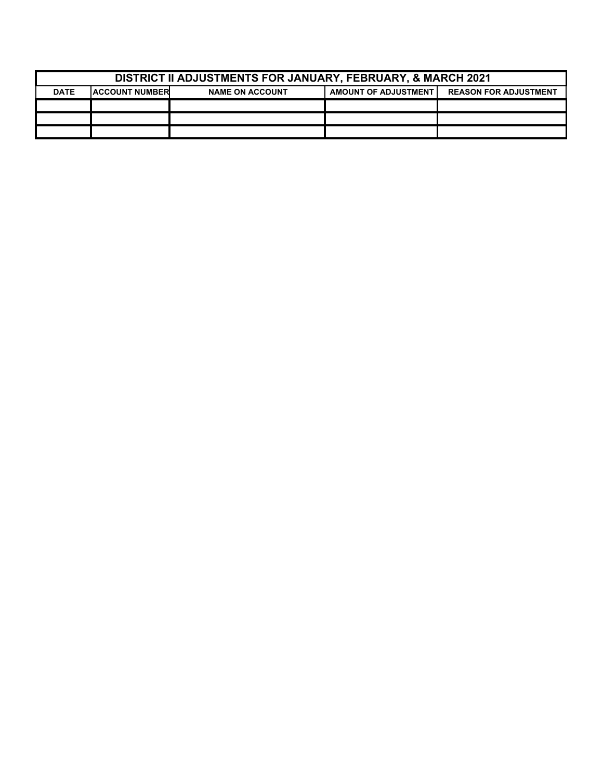| <b>DISTRICT II ADJUSTMENTS FOR JANUARY, FEBRUARY, &amp; MARCH 2021</b>                                                         |  |  |  |  |
|--------------------------------------------------------------------------------------------------------------------------------|--|--|--|--|
| <b>DATE</b><br><b>AMOUNT OF ADJUSTMENT</b><br><b>REASON FOR ADJUSTMENT</b><br><b>IACCOUNT NUMBER</b><br><b>NAME ON ACCOUNT</b> |  |  |  |  |
|                                                                                                                                |  |  |  |  |
|                                                                                                                                |  |  |  |  |
|                                                                                                                                |  |  |  |  |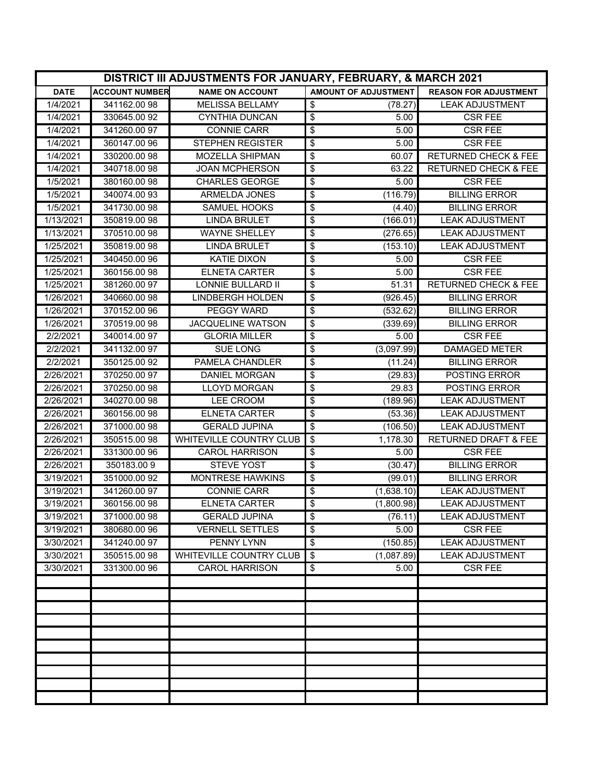|             | DISTRICT III ADJUSTMENTS FOR JANUARY, FEBRUARY, & MARCH 2021 |                                |                                                      |                                 |  |
|-------------|--------------------------------------------------------------|--------------------------------|------------------------------------------------------|---------------------------------|--|
| <b>DATE</b> | <b>ACCOUNT NUMBER</b>                                        | <b>NAME ON ACCOUNT</b>         | AMOUNT OF ADJUSTMENT                                 | <b>REASON FOR ADJUSTMENT</b>    |  |
| 1/4/2021    | 341162.0098                                                  | <b>MELISSA BELLAMY</b>         | \$<br>(78.27)                                        | <b>LEAK ADJUSTMENT</b>          |  |
| 1/4/2021    | 330645.00 92                                                 | <b>CYNTHIA DUNCAN</b>          | $\overline{\mathbf{e}}$<br>5.00                      | <b>CSR FEE</b>                  |  |
| 1/4/2021    | 341260.00 97                                                 | <b>CONNIE CARR</b>             | \$<br>5.00                                           | <b>CSR FEE</b>                  |  |
| 1/4/2021    | 360147.0096                                                  | <b>STEPHEN REGISTER</b>        | $\overline{\mathbf{e}}$<br>5.00                      | <b>CSR FEE</b>                  |  |
| 1/4/2021    | 330200.00 98                                                 | MOZELLA SHIPMAN                | \$<br>60.07                                          | <b>RETURNED CHECK &amp; FEE</b> |  |
| 1/4/2021    | 340718.0098                                                  | <b>JOAN MCPHERSON</b>          | \$<br>63.22                                          | <b>RETURNED CHECK &amp; FEE</b> |  |
| 1/5/2021    | 380160.0098                                                  | <b>CHARLES GEORGE</b>          | \$<br>5.00                                           | <b>CSR FEE</b>                  |  |
| 1/5/2021    | 340074.00 93                                                 | ARMELDA JONES                  | $\overline{\mathbf{e}}$<br>(116.79)                  | <b>BILLING ERROR</b>            |  |
| 1/5/2021    | 341730.0098                                                  | <b>SAMUEL HOOKS</b>            | \$<br>(4.40)                                         | <b>BILLING ERROR</b>            |  |
| 1/13/2021   | 350819.00 98                                                 | <b>LINDA BRULET</b>            | (166.01)<br>\$                                       | <b>LEAK ADJUSTMENT</b>          |  |
| 1/13/2021   | 370510.0098                                                  | <b>WAYNE SHELLEY</b>           | $\overline{\mathbf{e}}$<br>(276.65)                  | <b>LEAK ADJUSTMENT</b>          |  |
| 1/25/2021   | 350819.0098                                                  | <b>LINDA BRULET</b>            | \$<br>(153.10)                                       | <b>LEAK ADJUSTMENT</b>          |  |
| 1/25/2021   | 340450.00 96                                                 | <b>KATIE DIXON</b>             | \$<br>5.00                                           | <b>CSR FEE</b>                  |  |
| 1/25/2021   | 360156.0098                                                  | <b>ELNETA CARTER</b>           | \$<br>5.00                                           | <b>CSR FEE</b>                  |  |
| 1/25/2021   | 381260.0097                                                  | <b>LONNIE BULLARD II</b>       | \$<br>51.31                                          | <b>RETURNED CHECK &amp; FEE</b> |  |
| 1/26/2021   | 340660.0098                                                  | <b>LINDBERGH HOLDEN</b>        | \$<br>(926.45)                                       | <b>BILLING ERROR</b>            |  |
| 1/26/2021   | 370152.00 96                                                 | <b>PEGGY WARD</b>              | \$<br>(532.62)                                       | <b>BILLING ERROR</b>            |  |
| 1/26/2021   | 370519.00 98                                                 | <b>JACQUELINE WATSON</b>       | $\overline{\boldsymbol{\theta}}$<br>(339.69)         | <b>BILLING ERROR</b>            |  |
| 2/2/2021    | 340014.0097                                                  | <b>GLORIA MILLER</b>           | $\overline{\boldsymbol{\theta}}$<br>5.00             | <b>CSR FEE</b>                  |  |
| 2/2/2021    | 341132.0097                                                  | <b>SUE LONG</b>                | $\overline{\mathbf{e}}$<br>(3,097.99)                | <b>DAMAGED METER</b>            |  |
| 2/2/2021    | 350125.00 92                                                 | PAMELA CHANDLER                | \$<br>(11.24)                                        | <b>BILLING ERROR</b>            |  |
| 2/26/2021   | 370250.00 97                                                 | DANIEL MORGAN                  | \$<br>(29.83)                                        | POSTING ERROR                   |  |
| 2/26/2021   | 370250.00 98                                                 | <b>LLOYD MORGAN</b>            | 29.83<br>\$                                          | POSTING ERROR                   |  |
| 2/26/2021   | 340270.00 98                                                 | LEE CROOM                      | \$<br>(189.96)                                       | <b>LEAK ADJUSTMENT</b>          |  |
| 2/26/2021   | 360156.0098                                                  | <b>ELNETA CARTER</b>           | \$<br>(53.36)                                        | <b>LEAK ADJUSTMENT</b>          |  |
| 2/26/2021   | 371000.0098                                                  | <b>GERALD JUPINA</b>           | $\overline{\mathbf{e}}$<br>(106.50)                  | <b>LEAK ADJUSTMENT</b>          |  |
| 2/26/2021   | 350515.00 98                                                 | <b>WHITEVILLE COUNTRY CLUB</b> | $\overline{\mathbf{3}}$<br>1,178.30                  | <b>RETURNED DRAFT &amp; FEE</b> |  |
| 2/26/2021   | 331300.00 96                                                 | <b>CAROL HARRISON</b>          | $\overline{\$}$<br>5.00                              | <b>CSR FEE</b>                  |  |
| 2/26/2021   | 350183.009                                                   | <b>STEVE YOST</b>              | $\overline{\boldsymbol{\theta}}$<br>(30.47)          | <b>BILLING ERROR</b>            |  |
| 3/19/2021   | 351000.00 92                                                 | MONTRESE HAWKINS               | $\overline{\mathbf{e}}$<br>(99.01)                   | <b>BILLING ERROR</b>            |  |
| 3/19/2021   | 341260.0097                                                  | <b>CONNIE CARR</b>             | \$<br>(1,638.10)                                     | <b>LEAK ADJUSTMENT</b>          |  |
| 3/19/2021   | 360156.0098                                                  | <b>ELNETA CARTER</b>           | $\overline{\mathbf{e}}$<br>(1,800.98)                | <b>LEAK ADJUSTMENT</b>          |  |
| 3/19/2021   | 371000.0098                                                  | <b>GERALD JUPINA</b>           | \$<br>(76.11)                                        | <b>LEAK ADJUSTMENT</b>          |  |
| 3/19/2021   | 380680.0096                                                  | <b>VERNELL SETTLES</b>         | $\overline{\mathbf{e}}$<br>5.00                      | <b>CSR FEE</b>                  |  |
| 3/30/2021   | 341240.0097                                                  | <b>PENNY LYNN</b>              | (150.85)<br>\$                                       | <b>LEAK ADJUSTMENT</b>          |  |
| 3/30/2021   | 350515.00 98                                                 | WHITEVILLE COUNTRY CLUB        | $\overline{\boldsymbol{\mathfrak{s}}}$<br>(1,087.89) | <b>LEAK ADJUSTMENT</b>          |  |
| 3/30/2021   | 331300.00 96                                                 | <b>CAROL HARRISON</b>          | 5.00<br>\$                                           | <b>CSR FEE</b>                  |  |
|             |                                                              |                                |                                                      |                                 |  |
|             |                                                              |                                |                                                      |                                 |  |
|             |                                                              |                                |                                                      |                                 |  |
|             |                                                              |                                |                                                      |                                 |  |
|             |                                                              |                                |                                                      |                                 |  |
|             |                                                              |                                |                                                      |                                 |  |
|             |                                                              |                                |                                                      |                                 |  |
|             |                                                              |                                |                                                      |                                 |  |
|             |                                                              |                                |                                                      |                                 |  |
|             |                                                              |                                |                                                      |                                 |  |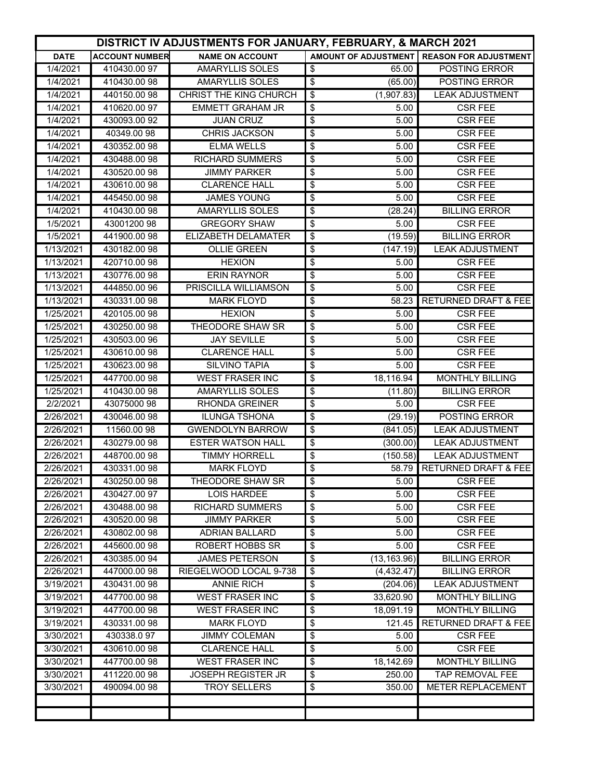|             | DISTRICT IV ADJUSTMENTS FOR JANUARY, FEBRUARY, & MARCH 2021 |                               |                                                       |                                              |  |
|-------------|-------------------------------------------------------------|-------------------------------|-------------------------------------------------------|----------------------------------------------|--|
| <b>DATE</b> | <b>ACCOUNT NUMBER</b>                                       | <b>NAME ON ACCOUNT</b>        |                                                       | AMOUNT OF ADJUSTMENT   REASON FOR ADJUSTMENT |  |
| 1/4/2021    | 410430.0097                                                 | <b>AMARYLLIS SOLES</b>        | \$<br>65.00                                           | POSTING ERROR                                |  |
| 1/4/2021    | 410430.0098                                                 | <b>AMARYLLIS SOLES</b>        | $\overline{\boldsymbol{\theta}}$<br>(65.00)           | POSTING ERROR                                |  |
| 1/4/2021    | 440150.00 98                                                | <b>CHRIST THE KING CHURCH</b> | \$<br>(1,907.83)                                      | <b>LEAK ADJUSTMENT</b>                       |  |
| 1/4/2021    | 410620.0097                                                 | <b>EMMETT GRAHAM JR</b>       | \$<br>5.00                                            | <b>CSR FEE</b>                               |  |
| 1/4/2021    | 430093.00 92                                                | <b>JUAN CRUZ</b>              | \$<br>5.00                                            | <b>CSR FEE</b>                               |  |
| 1/4/2021    | 40349.0098                                                  | CHRIS JACKSON                 | \$<br>5.00                                            | <b>CSR FEE</b>                               |  |
| 1/4/2021    | 430352.00 98                                                | <b>ELMA WELLS</b>             | \$<br>5.00                                            | <b>CSR FEE</b>                               |  |
| 1/4/2021    | 430488.0098                                                 | <b>RICHARD SUMMERS</b>        | \$<br>5.00                                            | <b>CSR FEE</b>                               |  |
| 1/4/2021    | 430520.00 98                                                | <b>JIMMY PARKER</b>           | \$<br>5.00                                            | <b>CSR FEE</b>                               |  |
| 1/4/2021    | 430610.00 98                                                | <b>CLARENCE HALL</b>          | \$<br>5.00                                            | <b>CSR FEE</b>                               |  |
| 1/4/2021    | 445450.00 98                                                | <b>JAMES YOUNG</b>            | \$<br>5.00                                            | <b>CSR FEE</b>                               |  |
| 1/4/2021    | 410430.0098                                                 | <b>AMARYLLIS SOLES</b>        | \$<br>(28.24)                                         | <b>BILLING ERROR</b>                         |  |
| 1/5/2021    | 4300120098                                                  | <b>GREGORY SHAW</b>           | \$<br>5.00                                            | <b>CSR FEE</b>                               |  |
| 1/5/2021    | 441900.0098                                                 | ELIZABETH DELAMATER           | \$<br>(19.59)                                         | <b>BILLING ERROR</b>                         |  |
| 1/13/2021   | 430182.0098                                                 | <b>OLLIE GREEN</b>            | \$<br>(147.19)                                        | <b>LEAK ADJUSTMENT</b>                       |  |
| 1/13/2021   | 420710.00 98                                                | <b>HEXION</b>                 | \$<br>5.00                                            | <b>CSR FEE</b>                               |  |
| 1/13/2021   | 430776.0098                                                 | <b>ERIN RAYNOR</b>            | \$<br>5.00                                            | <b>CSR FEE</b>                               |  |
| 1/13/2021   | 444850.0096                                                 | PRISCILLA WILLIAMSON          | $\overline{\boldsymbol{\theta}}$<br>$\overline{5.00}$ | <b>CSR FEE</b>                               |  |
| 1/13/2021   | 430331.00 98                                                | <b>MARK FLOYD</b>             | \$<br>58.23                                           | <b>RETURNED DRAFT &amp; FEE</b>              |  |
| 1/25/2021   | 420105.0098                                                 | <b>HEXION</b>                 | \$<br>5.00                                            | <b>CSR FEE</b>                               |  |
| 1/25/2021   | 430250.00 98                                                | THEODORE SHAW SR              | \$<br>5.00                                            | <b>CSR FEE</b>                               |  |
| 1/25/2021   | 430503.00 96                                                | <b>JAY SEVILLE</b>            | \$<br>5.00                                            | <b>CSR FEE</b>                               |  |
| 1/25/2021   | 430610.0098                                                 | <b>CLARENCE HALL</b>          | \$<br>5.00                                            | <b>CSR FEE</b>                               |  |
| 1/25/2021   | 430623.00 98                                                | <b>SILVINO TAPIA</b>          | \$<br>5.00                                            | <b>CSR FEE</b>                               |  |
| 1/25/2021   | 447700.00 98                                                | <b>WEST FRASER INC</b>        | \$<br>18,116.94                                       | <b>MONTHLY BILLING</b>                       |  |
| 1/25/2021   | 410430.0098                                                 | <b>AMARYLLIS SOLES</b>        | \$<br>(11.80)                                         | <b>BILLING ERROR</b>                         |  |
| 2/2/2021    | 43075000 98                                                 | <b>RHONDA GREINER</b>         | \$<br>5.00                                            | <b>CSR FEE</b>                               |  |
| 2/26/2021   | 430046.0098                                                 | <b>ILUNGA TSHONA</b>          | \$<br>(29.19)                                         | <b>POSTING ERROR</b>                         |  |
| 2/26/2021   | 11560.0098                                                  | <b>GWENDOLYN BARROW</b>       | $\overline{\mathcal{L}}$<br>(841.05)                  | <b>LEAK ADJUSTMENT</b>                       |  |
| 2/26/2021   | 430279.00 98                                                | <b>ESTER WATSON HALL</b>      | \$<br>(300.00)                                        | <b>LEAK ADJUSTMENT</b>                       |  |
| 2/26/2021   | 448700.00 98                                                | <b>TIMMY HORRELL</b>          | \$<br>(150.58)                                        | <b>LEAK ADJUSTMENT</b>                       |  |
| 2/26/2021   | 430331.00 98                                                | <b>MARK FLOYD</b>             | \$<br>58.79                                           | <b>RETURNED DRAFT &amp; FEE</b>              |  |
| 2/26/2021   | 430250.00 98                                                | THEODORE SHAW SR              | \$<br>5.00                                            | <b>CSR FEE</b>                               |  |
| 2/26/2021   | 430427.00 97                                                | <b>LOIS HARDEE</b>            | \$<br>5.00                                            | <b>CSR FEE</b>                               |  |
| 2/26/2021   | 430488.0098                                                 | <b>RICHARD SUMMERS</b>        | \$<br>5.00                                            | <b>CSR FEE</b>                               |  |
| 2/26/2021   | 430520.0098                                                 | <b>JIMMY PARKER</b>           | \$<br>5.00                                            | <b>CSR FEE</b>                               |  |
| 2/26/2021   | 430802.0098                                                 | <b>ADRIAN BALLARD</b>         | \$<br>5.00                                            | <b>CSR FEE</b>                               |  |
| 2/26/2021   | 445600.0098                                                 | <b>ROBERT HOBBS SR</b>        | \$<br>5.00                                            | <b>CSR FEE</b>                               |  |
| 2/26/2021   | 430385.00 94                                                | <b>JAMES PETERSON</b>         | $\boldsymbol{\mathsf{S}}$<br>(13, 163.96)             | <b>BILLING ERROR</b>                         |  |
| 2/26/2021   | 447000.0098                                                 | RIEGELWOOD LOCAL 9-738        | $\boldsymbol{\mathsf{S}}$<br>(4,432.47)               | <b>BILLING ERROR</b>                         |  |
| 3/19/2021   | 430431.0098                                                 | <b>ANNIE RICH</b>             | \$<br>(204.06)                                        | <b>LEAK ADJUSTMENT</b>                       |  |
| 3/19/2021   | 447700.00 98                                                | <b>WEST FRASER INC</b>        | \$<br>33,620.90                                       | <b>MONTHLY BILLING</b>                       |  |
| 3/19/2021   | 447700.00 98                                                | <b>WEST FRASER INC</b>        | \$<br>18,091.19                                       | <b>MONTHLY BILLING</b>                       |  |
| 3/19/2021   | 430331.0098                                                 | <b>MARK FLOYD</b>             | \$<br>121.45                                          | <b>RETURNED DRAFT &amp; FEE</b>              |  |
| 3/30/2021   | 430338.097                                                  | <b>JIMMY COLEMAN</b>          | \$<br>5.00                                            | <b>CSR FEE</b>                               |  |
| 3/30/2021   | 430610.0098                                                 | <b>CLARENCE HALL</b>          | \$<br>5.00                                            | <b>CSR FEE</b>                               |  |
| 3/30/2021   | 447700.0098                                                 | <b>WEST FRASER INC</b>        | \$<br>18,142.69                                       | <b>MONTHLY BILLING</b>                       |  |
| 3/30/2021   | 411220.0098                                                 | <b>JOSEPH REGISTER JR</b>     | \$<br>250.00                                          | TAP REMOVAL FEE                              |  |
| 3/30/2021   | 490094.00 98                                                | <b>TROY SELLERS</b>           | \$<br>350.00                                          | <b>METER REPLACEMENT</b>                     |  |
|             |                                                             |                               |                                                       |                                              |  |
|             |                                                             |                               |                                                       |                                              |  |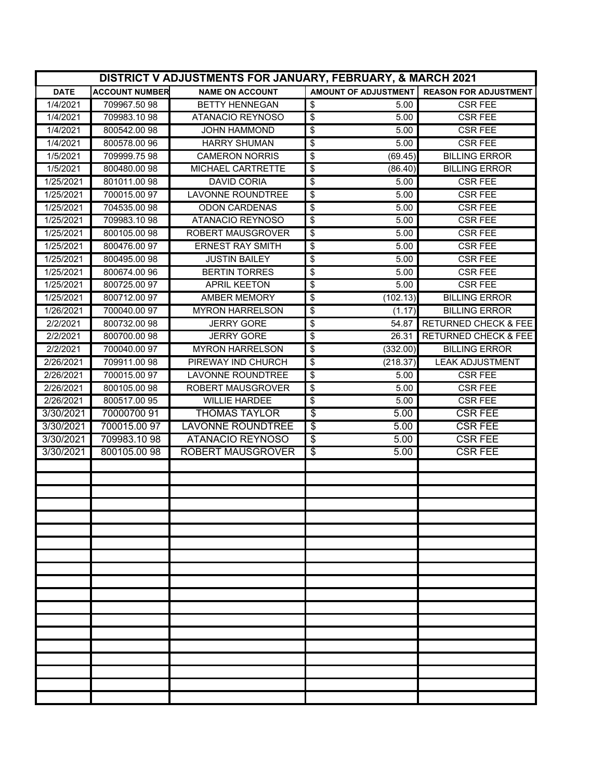|             | DISTRICT V ADJUSTMENTS FOR JANUARY, FEBRUARY, & MARCH 2021 |                          |                                           |                                 |  |
|-------------|------------------------------------------------------------|--------------------------|-------------------------------------------|---------------------------------|--|
| <b>DATE</b> | <b>ACCOUNT NUMBER</b>                                      | <b>NAME ON ACCOUNT</b>   | <b>AMOUNT OF ADJUSTMENT</b>               | <b>REASON FOR ADJUSTMENT</b>    |  |
| 1/4/2021    | 709967.50 98                                               | <b>BETTY HENNEGAN</b>    | \$<br>5.00                                | <b>CSR FEE</b>                  |  |
| 1/4/2021    | 709983.1098                                                | <b>ATANACIO REYNOSO</b>  | $\overline{\boldsymbol{\theta}}$<br>5.00  | <b>CSR FEE</b>                  |  |
| 1/4/2021    | 800542.0098                                                | <b>JOHN HAMMOND</b>      | \$<br>5.00                                | <b>CSR FEE</b>                  |  |
| 1/4/2021    | 800578.00 96                                               | <b>HARRY SHUMAN</b>      | \$<br>5.00                                | <b>CSR FEE</b>                  |  |
| 1/5/2021    | 709999.75 98                                               | <b>CAMERON NORRIS</b>    | (69.45)<br>\$                             | <b>BILLING ERROR</b>            |  |
| 1/5/2021    | 800480.0098                                                | MICHAEL CARTRETTE        | \$<br>(86.40)                             | <b>BILLING ERROR</b>            |  |
| 1/25/2021   | 801011.0098                                                | <b>DAVID CORIA</b>       | \$<br>5.00                                | <b>CSR FEE</b>                  |  |
| 1/25/2021   | 700015.00 97                                               | <b>LAVONNE ROUNDTREE</b> | \$<br>5.00                                | <b>CSR FEE</b>                  |  |
| 1/25/2021   | 704535.00 98                                               | <b>ODON CARDENAS</b>     | \$<br>5.00                                | <b>CSR FEE</b>                  |  |
| 1/25/2021   | 709983.1098                                                | <b>ATANACIO REYNOSO</b>  | \$<br>5.00                                | <b>CSR FEE</b>                  |  |
| 1/25/2021   | 800105.0098                                                | <b>ROBERT MAUSGROVER</b> | 5.00<br>\$                                | <b>CSR FEE</b>                  |  |
| 1/25/2021   | 800476.0097                                                | <b>ERNEST RAY SMITH</b>  | \$<br>5.00                                | <b>CSR FEE</b>                  |  |
| 1/25/2021   | 800495.0098                                                | <b>JUSTIN BAILEY</b>     | \$<br>5.00                                | <b>CSR FEE</b>                  |  |
| 1/25/2021   | 800674.0096                                                | <b>BERTIN TORRES</b>     | \$<br>5.00                                | <b>CSR FEE</b>                  |  |
| 1/25/2021   | 800725.00 97                                               | <b>APRIL KEETON</b>      | \$<br>5.00                                | <b>CSR FEE</b>                  |  |
| 1/25/2021   | 800712.00 97                                               | <b>AMBER MEMORY</b>      | \$<br>(102.13)                            | <b>BILLING ERROR</b>            |  |
| 1/26/2021   | 700040.00 97                                               | <b>MYRON HARRELSON</b>   | \$<br>(1.17)                              | <b>BILLING ERROR</b>            |  |
| 2/2/2021    | 800732.0098                                                | <b>JERRY GORE</b>        | $\overline{\boldsymbol{\theta}}$<br>54.87 | <b>RETURNED CHECK &amp; FEE</b> |  |
| 2/2/2021    | 800700.0098                                                | <b>JERRY GORE</b>        | \$<br>26.31                               | <b>RETURNED CHECK &amp; FEE</b> |  |
| 2/2/2021    | 700040.00 97                                               | <b>MYRON HARRELSON</b>   | \$<br>(332.00)                            | <b>BILLING ERROR</b>            |  |
| 2/26/2021   | 709911.00 98                                               | PIREWAY IND CHURCH       | \$<br>(218.37)                            | <b>LEAK ADJUSTMENT</b>          |  |
| 2/26/2021   | 700015.00 97                                               | <b>LAVONNE ROUNDTREE</b> | \$<br>5.00                                | <b>CSR FEE</b>                  |  |
| 2/26/2021   | 800105.0098                                                | ROBERT MAUSGROVER        | \$<br>5.00                                | <b>CSR FEE</b>                  |  |
| 2/26/2021   | 800517.00 95                                               | <b>WILLIE HARDEE</b>     | \$<br>5.00                                | <b>CSR FEE</b>                  |  |
| 3/30/2021   | 70000700 91                                                | <b>THOMAS TAYLOR</b>     | $\overline{\boldsymbol{\theta}}$<br>5.00  | <b>CSR FEE</b>                  |  |
| 3/30/2021   | 700015.00 97                                               | <b>LAVONNE ROUNDTREE</b> | $\overline{\boldsymbol{\theta}}$<br>5.00  | <b>CSR FEE</b>                  |  |
| 3/30/2021   | 709983.1098                                                | <b>ATANACIO REYNOSO</b>  | \$<br>5.00                                | <b>CSR FEE</b>                  |  |
| 3/30/2021   | 800105.0098                                                | <b>ROBERT MAUSGROVER</b> | \$<br>5.00                                | <b>CSR FEE</b>                  |  |
|             |                                                            |                          |                                           |                                 |  |
|             |                                                            |                          |                                           |                                 |  |
|             |                                                            |                          |                                           |                                 |  |
|             |                                                            |                          |                                           |                                 |  |
|             |                                                            |                          |                                           |                                 |  |
|             |                                                            |                          |                                           |                                 |  |
|             |                                                            |                          |                                           |                                 |  |
|             |                                                            |                          |                                           |                                 |  |
|             |                                                            |                          |                                           |                                 |  |
|             |                                                            |                          |                                           |                                 |  |
|             |                                                            |                          |                                           |                                 |  |
|             |                                                            |                          |                                           |                                 |  |
|             |                                                            |                          |                                           |                                 |  |
|             |                                                            |                          |                                           |                                 |  |
|             |                                                            |                          |                                           |                                 |  |
|             |                                                            |                          |                                           |                                 |  |
|             |                                                            |                          |                                           |                                 |  |
|             |                                                            |                          |                                           |                                 |  |
|             |                                                            |                          |                                           |                                 |  |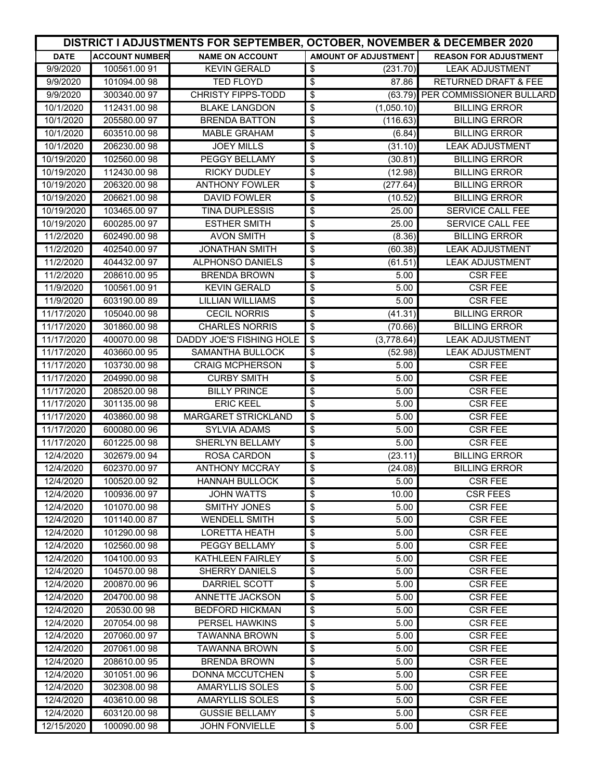|                        |                             |                                           | DISTRICT I ADJUSTMENTS FOR SEPTEMBER, OCTOBER, NOVEMBER & DECEMBER 2020 |                                  |  |
|------------------------|-----------------------------|-------------------------------------------|-------------------------------------------------------------------------|----------------------------------|--|
| <b>DATE</b>            | <b>ACCOUNT NUMBER</b>       | <b>NAME ON ACCOUNT</b>                    | <b>AMOUNT OF ADJUSTMENT</b>                                             | <b>REASON FOR ADJUSTMENT</b>     |  |
| 9/9/2020               | 100561.0091                 | <b>KEVIN GERALD</b>                       | \$<br>(231.70)                                                          | <b>LEAK ADJUSTMENT</b>           |  |
| 9/9/2020               | 101094.00 98                | <b>TED FLOYD</b>                          | $\overline{\boldsymbol{\theta}}$<br>87.86                               | <b>RETURNED DRAFT &amp; FEE</b>  |  |
| 9/9/2020               | 300340.0097                 | <b>CHRISTY FIPPS-TODD</b>                 | \$<br>(63.79)                                                           | PER COMMISSIONER BULLARD         |  |
| 10/1/2020              | 112431.00 98                | <b>BLAKE LANGDON</b>                      | \$<br>(1,050.10)                                                        | <b>BILLING ERROR</b>             |  |
| 10/1/2020              | 205580.00 97                | <b>BRENDA BATTON</b>                      | \$<br>(116.63)                                                          | <b>BILLING ERROR</b>             |  |
| 10/1/2020              | 603510.0098                 | <b>MABLE GRAHAM</b>                       | \$<br>(6.84)                                                            | <b>BILLING ERROR</b>             |  |
| 10/1/2020              | 206230.00 98                | <b>JOEY MILLS</b>                         | \$<br>(31.10)                                                           | <b>LEAK ADJUSTMENT</b>           |  |
| 10/19/2020             | 102560.00 98                | PEGGY BELLAMY                             | \$<br>(30.81)                                                           | <b>BILLING ERROR</b>             |  |
| 10/19/2020             | 112430.00 98                | <b>RICKY DUDLEY</b>                       | \$<br>(12.98)                                                           | <b>BILLING ERROR</b>             |  |
| 10/19/2020             | 206320.00 98                | <b>ANTHONY FOWLER</b>                     | \$<br>(277.64)                                                          | <b>BILLING ERROR</b>             |  |
| 10/19/2020             | 206621.0098                 | <b>DAVID FOWLER</b>                       | $\overline{\boldsymbol{\theta}}$<br>(10.52)                             | <b>BILLING ERROR</b>             |  |
| 10/19/2020             | 103465.00 97                | <b>TINA DUPLESSIS</b>                     | $\overline{\boldsymbol{\epsilon}}$<br>25.00                             | <b>SERVICE CALL FEE</b>          |  |
| 10/19/2020             | 600285.00 97                | <b>ESTHER SMITH</b>                       | \$<br>25.00                                                             | SERVICE CALL FEE                 |  |
| 11/2/2020              | 602490.00 98                | <b>AVON SMITH</b>                         | \$<br>(8.36)                                                            | <b>BILLING ERROR</b>             |  |
| 11/2/2020              | 402540.00 97                | <b>JONATHAN SMITH</b>                     | \$<br>(60.38)                                                           | <b>LEAK ADJUSTMENT</b>           |  |
| 11/2/2020              | 404432.0097                 | <b>ALPHONSO DANIELS</b>                   | \$<br>(61.51)                                                           | <b>LEAK ADJUSTMENT</b>           |  |
| 11/2/2020              | 208610.00 95                | <b>BRENDA BROWN</b>                       | \$<br>5.00                                                              | <b>CSR FEE</b>                   |  |
| 11/9/2020              | 100561.00 91                | <b>KEVIN GERALD</b>                       | \$<br>5.00                                                              | <b>CSR FEE</b>                   |  |
| 11/9/2020              | 603190.0089                 | <b>LILLIAN WILLIAMS</b>                   | \$<br>5.00                                                              | <b>CSR FEE</b>                   |  |
| 11/17/2020             | 105040.00 98                | <b>CECIL NORRIS</b>                       | \$<br>(41.31)                                                           | <b>BILLING ERROR</b>             |  |
| 11/17/2020             | 301860.0098                 | <b>CHARLES NORRIS</b>                     | \$<br>(70.66)                                                           | <b>BILLING ERROR</b>             |  |
| 11/17/2020             | 400070.0098                 | DADDY JOE'S FISHING HOLE                  | $\overline{\boldsymbol{\mathsf{s}}}$<br>(3,778.64)                      | <b>LEAK ADJUSTMENT</b>           |  |
| 11/17/2020             | 403660.00 95                | SAMANTHA BULLOCK                          | \$<br>(52.98)                                                           | <b>LEAK ADJUSTMENT</b>           |  |
| 11/17/2020             | 103730.00 98                | <b>CRAIG MCPHERSON</b>                    | \$<br>5.00                                                              | <b>CSR FEE</b>                   |  |
| 11/17/2020             | 204990.00 98                | <b>CURBY SMITH</b>                        | \$<br>5.00                                                              | <b>CSR FEE</b>                   |  |
| 11/17/2020             | 208520.00 98                | <b>BILLY PRINCE</b>                       | \$<br>5.00                                                              | <b>CSR FEE</b>                   |  |
| 11/17/2020             | 301135.0098                 | <b>ERIC KEEL</b>                          | \$<br>5.00                                                              | <b>CSR FEE</b>                   |  |
| 11/17/2020             | 403860.0098                 | <b>MARGARET STRICKLAND</b>                | $\overline{\boldsymbol{\theta}}$<br>5.00                                | <b>CSR FEE</b>                   |  |
| 11/17/2020             | 600080.00 96                | <b>SYLVIA ADAMS</b>                       | \$<br>5.00                                                              | <b>CSR FEE</b>                   |  |
| 11/17/2020             | 601225.0098                 | SHERLYN BELLAMY                           | \$<br>5.00                                                              | <b>CSR FEE</b>                   |  |
| 12/4/2020              | 302679.00 94                | ROSA CARDON                               | \$<br>(23.11)                                                           | <b>BILLING ERROR</b>             |  |
| 12/4/2020              | 602370.00 97                | <b>ANTHONY MCCRAY</b>                     | \$<br>(24.08)                                                           | <b>BILLING ERROR</b>             |  |
| 12/4/2020              | 100520.00 92                | <b>HANNAH BULLOCK</b>                     | \$<br>5.00                                                              | <b>CSR FEE</b>                   |  |
| 12/4/2020              | 100936.0097                 | <b>JOHN WATTS</b>                         | \$<br>10.00                                                             | <b>CSR FEES</b>                  |  |
| 12/4/2020              | 101070.00 98                | <b>SMITHY JONES</b>                       | \$<br>5.00                                                              | <b>CSR FEE</b>                   |  |
| 12/4/2020              | 101140.0087                 | <b>WENDELL SMITH</b>                      | \$<br>5.00                                                              | <b>CSR FEE</b>                   |  |
| 12/4/2020              | 101290.00 98                | <b>LORETTA HEATH</b>                      | \$<br>5.00                                                              | <b>CSR FEE</b>                   |  |
| 12/4/2020              | 102560.00 98                | PEGGY BELLAMY                             | \$<br>5.00                                                              | <b>CSR FEE</b>                   |  |
| 12/4/2020              | 104100.0093                 | KATHLEEN FAIRLEY                          | \$<br>5.00                                                              | <b>CSR FEE</b>                   |  |
| 12/4/2020              | 104570.00 98                | SHERRY DANIELS                            | \$<br>5.00                                                              | <b>CSR FEE</b>                   |  |
| 12/4/2020              | 200870.00 96                | DARRIEL SCOTT                             | \$<br>5.00                                                              | <b>CSR FEE</b>                   |  |
| 12/4/2020              | 204700.0098                 | ANNETTE JACKSON                           | \$<br>5.00                                                              | <b>CSR FEE</b>                   |  |
| 12/4/2020              | 20530.0098                  | <b>BEDFORD HICKMAN</b>                    | \$<br>5.00                                                              | <b>CSR FEE</b>                   |  |
| 12/4/2020              | 207054.0098                 | PERSEL HAWKINS                            | \$<br>5.00                                                              | <b>CSR FEE</b>                   |  |
| 12/4/2020              | 207060.00 97                | <b>TAWANNA BROWN</b>                      | \$<br>5.00                                                              | <b>CSR FEE</b>                   |  |
| 12/4/2020              | 207061.00 98                | <b>TAWANNA BROWN</b>                      | \$<br>5.00                                                              | <b>CSR FEE</b>                   |  |
| 12/4/2020              | 208610.00 95                | <b>BRENDA BROWN</b>                       | \$<br>5.00                                                              | <b>CSR FEE</b>                   |  |
| 12/4/2020<br>12/4/2020 | 301051.00 96<br>302308.0098 | DONNA MCCUTCHEN<br><b>AMARYLLIS SOLES</b> | \$<br>5.00<br>\$<br>5.00                                                | <b>CSR FEE</b><br><b>CSR FEE</b> |  |
| 12/4/2020              | 403610.0098                 | <b>AMARYLLIS SOLES</b>                    | \$<br>5.00                                                              | <b>CSR FEE</b>                   |  |
| 12/4/2020              | 603120.0098                 | <b>GUSSIE BELLAMY</b>                     | 5.00<br>\$                                                              | CSR FEE                          |  |
| 12/15/2020             | 100090.0098                 | <b>JOHN FONVIELLE</b>                     | $\overline{\mathbf{e}}$<br>$\overline{5.00}$                            | <b>CSR FEE</b>                   |  |
|                        |                             |                                           |                                                                         |                                  |  |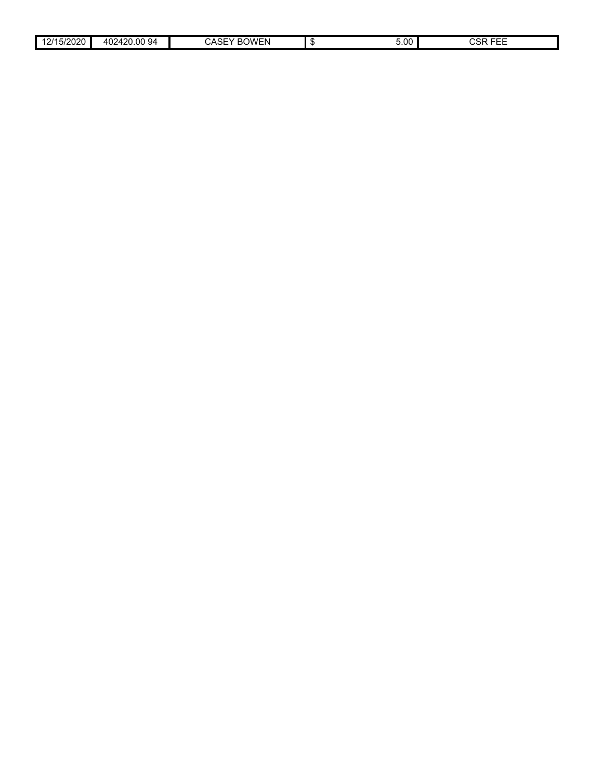| 15/2020<br>.011<br>-u -u | .00<br>ے محمد<br>94<br>402<br>.<br>ີ | $\sim$ $10^{10}$<br>ΈN<br>$\cdot$<br>, דס | 5.00 | ----<br><b>001</b><br>.<br>5۳ -<br>-- |  |
|--------------------------|--------------------------------------|-------------------------------------------|------|---------------------------------------|--|
|                          |                                      |                                           |      |                                       |  |

 $\overline{\phantom{a}}$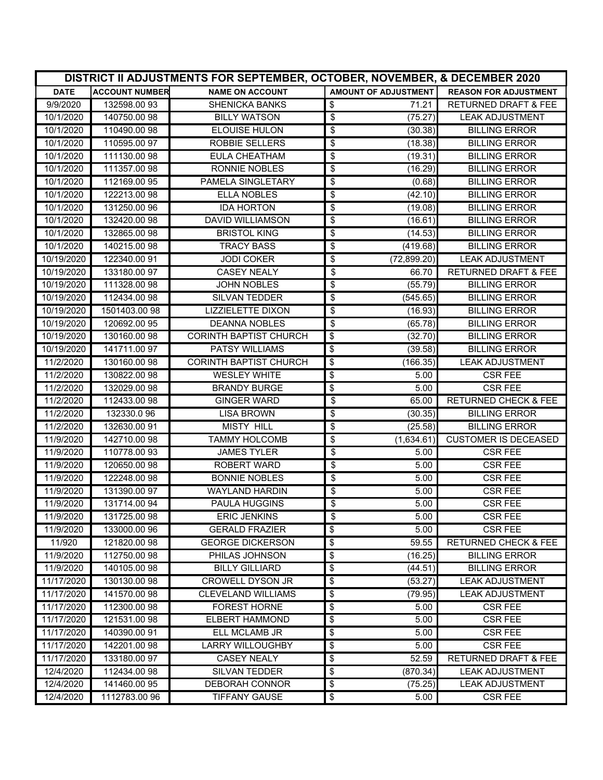|                          | DISTRICT II ADJUSTMENTS FOR SEPTEMBER, OCTOBER, NOVEMBER, & DECEMBER 2020 |                                            |                                             |                                                |  |
|--------------------------|---------------------------------------------------------------------------|--------------------------------------------|---------------------------------------------|------------------------------------------------|--|
| <b>DATE</b>              | <b>ACCOUNT NUMBER</b>                                                     | <b>NAME ON ACCOUNT</b>                     | <b>AMOUNT OF ADJUSTMENT</b>                 | <b>REASON FOR ADJUSTMENT</b>                   |  |
| 9/9/2020                 | 132598.00 93                                                              | <b>SHENICKA BANKS</b>                      | \$<br>71.21                                 | <b>RETURNED DRAFT &amp; FEE</b>                |  |
| 10/1/2020                | 140750.00 98                                                              | <b>BILLY WATSON</b>                        | $\overline{\boldsymbol{\theta}}$<br>(75.27) | <b>LEAK ADJUSTMENT</b>                         |  |
| 10/1/2020                | 110490.0098                                                               | <b>ELOUISE HULON</b>                       | \$<br>(30.38)                               | <b>BILLING ERROR</b>                           |  |
| 10/1/2020                | 110595.0097                                                               | <b>ROBBIE SELLERS</b>                      | \$<br>(18.38)                               | <b>BILLING ERROR</b>                           |  |
| 10/1/2020                | 111130.0098                                                               | <b>EULA CHEATHAM</b>                       | \$<br>(19.31)                               | <b>BILLING ERROR</b>                           |  |
| 10/1/2020                | 111357.00 98                                                              | <b>RONNIE NOBLES</b>                       | \$<br>(16.29)                               | <b>BILLING ERROR</b>                           |  |
| 10/1/2020                | 112169.00 95                                                              | PAMELA SINGLETARY                          | \$<br>(0.68)                                | <b>BILLING ERROR</b>                           |  |
| 10/1/2020                | 122213.00 98                                                              | <b>ELLA NOBLES</b>                         | \$<br>(42.10)                               | <b>BILLING ERROR</b>                           |  |
| 10/1/2020                | 131250.00 96                                                              | <b>IDA HORTON</b>                          | \$<br>(19.08)                               | <b>BILLING ERROR</b>                           |  |
| 10/1/2020                | 132420.00 98                                                              | <b>DAVID WILLIAMSON</b>                    | \$<br>(16.61)                               | <b>BILLING ERROR</b>                           |  |
| 10/1/2020                | 132865.00 98                                                              | <b>BRISTOL KING</b>                        | \$<br>(14.53)                               | <b>BILLING ERROR</b>                           |  |
| 10/1/2020                | 140215.00 98                                                              | <b>TRACY BASS</b>                          | \$<br>(419.68)                              | <b>BILLING ERROR</b>                           |  |
| 10/19/2020               | 122340.00 91                                                              | <b>JODI COKER</b>                          | \$<br>(72, 899.20)                          | <b>LEAK ADJUSTMENT</b>                         |  |
| 10/19/2020               | 133180.00 97                                                              | <b>CASEY NEALY</b>                         | \$<br>66.70                                 | <b>RETURNED DRAFT &amp; FEE</b>                |  |
| 10/19/2020               | 111328.0098                                                               | <b>JOHN NOBLES</b>                         | \$<br>(55.79)                               | <b>BILLING ERROR</b>                           |  |
| 10/19/2020               | 112434.00 98                                                              | SILVAN TEDDER                              | \$<br>(545.65)                              | <b>BILLING ERROR</b>                           |  |
| 10/19/2020               | 1501403.00 98                                                             | <b>LIZZIELETTE DIXON</b>                   | \$<br>(16.93)                               | <b>BILLING ERROR</b>                           |  |
| 10/19/2020               | 120692.00 95                                                              | <b>DEANNA NOBLES</b>                       | $\overline{\boldsymbol{\theta}}$<br>(65.78) | <b>BILLING ERROR</b>                           |  |
| 10/19/2020               | 130160.00 98                                                              | <b>CORINTH BAPTIST CHURCH</b>              | \$<br>(32.70)                               | <b>BILLING ERROR</b>                           |  |
| 10/19/2020               | 141711.0097                                                               | PATSY WILLIAMS                             | $\overline{\boldsymbol{\theta}}$<br>(39.58) | <b>BILLING ERROR</b>                           |  |
| 11/2/2020                | 130160.00 98                                                              | <b>CORINTH BAPTIST CHURCH</b>              | \$<br>(166.35)                              | <b>LEAK ADJUSTMENT</b>                         |  |
| 11/2/2020                | 130822.00 98                                                              | <b>WESLEY WHITE</b>                        | \$<br>5.00                                  | <b>CSR FEE</b>                                 |  |
| 11/2/2020                | 132029.00 98                                                              | <b>BRANDY BURGE</b>                        | \$<br>5.00                                  | <b>CSR FEE</b>                                 |  |
| 11/2/2020                | 112433.0098                                                               | <b>GINGER WARD</b>                         | \$<br>65.00                                 | <b>RETURNED CHECK &amp; FEE</b>                |  |
| 11/2/2020                | 132330.096                                                                | <b>LISA BROWN</b>                          | \$<br>(30.35)                               | <b>BILLING ERROR</b>                           |  |
| 11/2/2020                | 132630.0091                                                               | <b>MISTY HILL</b>                          | \$<br>(25.58)                               | <b>BILLING ERROR</b>                           |  |
| 11/9/2020                | 142710.00 98                                                              | <b>TAMMY HOLCOMB</b>                       | \$<br>(1,634.61)                            | <b>CUSTOMER IS DECEASED</b>                    |  |
| 11/9/2020                | 110778.0093                                                               | <b>JAMES TYLER</b>                         | \$<br>5.00                                  | <b>CSR FEE</b>                                 |  |
| 11/9/2020                | 120650.00 98                                                              | <b>ROBERT WARD</b>                         | $\overline{\mathbf{e}}$<br>5.00             | <b>CSR FEE</b>                                 |  |
| 11/9/2020                | 122248.00 98                                                              | <b>BONNIE NOBLES</b>                       | \$<br>5.00                                  | <b>CSR FEE</b>                                 |  |
| 11/9/2020                | 131390.00 97                                                              | <b>WAYLAND HARDIN</b>                      | \$<br>5.00                                  | <b>CSR FEE</b>                                 |  |
| 11/9/2020                | 131714.00 94                                                              | PAULA HUGGINS                              | \$<br>5.00                                  | <b>CSR FEE</b>                                 |  |
| 11/9/2020                | 131725.00 98                                                              | <b>ERIC JENKINS</b>                        | \$<br>5.00                                  | <b>CSR FEE</b>                                 |  |
| 11/9/2020                | 133000.00 96                                                              | <b>GERALD FRAZIER</b>                      | \$<br>5.00                                  | <b>CSR FEE</b>                                 |  |
| 11/920                   | 121820.00 98                                                              | <b>GEORGE DICKERSON</b>                    | \$<br>59.55                                 | <b>RETURNED CHECK &amp; FEE</b>                |  |
| 11/9/2020                | 112750.0098                                                               | PHILAS JOHNSON                             | \$<br>(16.25)                               | <b>BILLING ERROR</b>                           |  |
| 11/9/2020                | 140105.0098                                                               | <b>BILLY GILLIARD</b>                      | \$<br>(44.51)                               | <b>BILLING ERROR</b>                           |  |
| 11/17/2020               | 130130.0098                                                               | <b>CROWELL DYSON JR</b>                    | \$<br>(53.27)                               | <b>LEAK ADJUSTMENT</b>                         |  |
| 11/17/2020               | 141570.0098                                                               | <b>CLEVELAND WILLIAMS</b>                  | \$<br>(79.95)                               | <b>LEAK ADJUSTMENT</b>                         |  |
| 11/17/2020               | 112300.0098                                                               | <b>FOREST HORNE</b>                        | \$<br>5.00                                  | <b>CSR FEE</b>                                 |  |
| 11/17/2020               | 121531.0098                                                               | <b>ELBERT HAMMOND</b>                      | \$<br>5.00                                  | <b>CSR FEE</b>                                 |  |
| 11/17/2020               | 140390.00 91                                                              | ELL MCLAMB JR                              | \$<br>5.00                                  | <b>CSR FEE</b>                                 |  |
| 11/17/2020<br>11/17/2020 | 142201.00 98                                                              | LARRY WILLOUGHBY                           | \$<br>5.00                                  | <b>CSR FEE</b>                                 |  |
|                          | 133180.00 97                                                              | <b>CASEY NEALY</b><br><b>SILVAN TEDDER</b> | \$<br>52.59                                 | RETURNED DRAFT & FEE<br><b>LEAK ADJUSTMENT</b> |  |
| 12/4/2020                | 112434.0098<br>141460.00 95                                               | DEBORAH CONNOR                             | \$<br>(870.34)                              | <b>LEAK ADJUSTMENT</b>                         |  |
| 12/4/2020                |                                                                           |                                            | \$<br>(75.25)                               |                                                |  |
| 12/4/2020                | 1112783.00 96                                                             | <b>TIFFANY GAUSE</b>                       | \$<br>5.00                                  | <b>CSR FEE</b>                                 |  |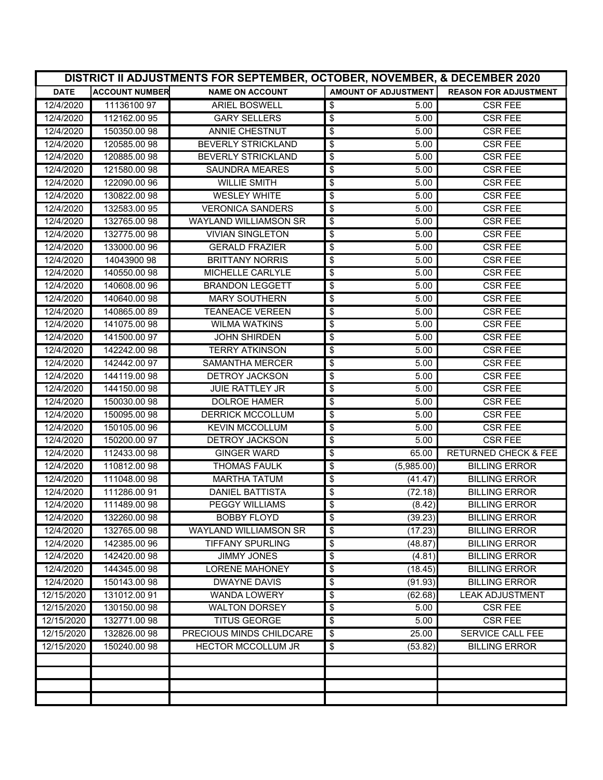| DISTRICT II ADJUSTMENTS FOR SEPTEMBER, OCTOBER, NOVEMBER, & DECEMBER 2020 |                       |                              |                                            |                                 |
|---------------------------------------------------------------------------|-----------------------|------------------------------|--------------------------------------------|---------------------------------|
| <b>DATE</b>                                                               | <b>ACCOUNT NUMBER</b> | <b>NAME ON ACCOUNT</b>       | <b>AMOUNT OF ADJUSTMENT</b>                | <b>REASON FOR ADJUSTMENT</b>    |
| 12/4/2020                                                                 | 11136100 97           | ARIEL BOSWELL                | \$<br>5.00                                 | <b>CSR FEE</b>                  |
| 12/4/2020                                                                 | 112162.00 95          | <b>GARY SELLERS</b>          | \$<br>5.00                                 | <b>CSR FEE</b>                  |
| 12/4/2020                                                                 | 150350.00 98          | ANNIE CHESTNUT               | \$<br>5.00                                 | <b>CSR FEE</b>                  |
| 12/4/2020                                                                 | 120585.00 98          | <b>BEVERLY STRICKLAND</b>    | \$<br>5.00                                 | <b>CSR FEE</b>                  |
| 12/4/2020                                                                 | 120885.00 98          | BEVERLY STRICKLAND           | \$<br>5.00                                 | <b>CSR FEE</b>                  |
| 12/4/2020                                                                 | 121580.00 98          | <b>SAUNDRA MEARES</b>        | $\overline{\boldsymbol{\epsilon}}$<br>5.00 | <b>CSR FEE</b>                  |
| 12/4/2020                                                                 | 122090.00 96          | <b>WILLIE SMITH</b>          | \$<br>5.00                                 | <b>CSR FEE</b>                  |
| 12/4/2020                                                                 | 130822.00 98          | <b>WESLEY WHITE</b>          | \$<br>5.00                                 | <b>CSR FEE</b>                  |
| 12/4/2020                                                                 | 132583.00 95          | <b>VERONICA SANDERS</b>      | \$<br>5.00                                 | <b>CSR FEE</b>                  |
| 12/4/2020                                                                 | 132765.00 98          | <b>WAYLAND WILLIAMSON SR</b> | \$<br>5.00                                 | <b>CSR FEE</b>                  |
| 12/4/2020                                                                 | 132775.00 98          | <b>VIVIAN SINGLETON</b>      | \$<br>5.00                                 | <b>CSR FEE</b>                  |
| 12/4/2020                                                                 | 133000.00 96          | <b>GERALD FRAZIER</b>        | \$<br>5.00                                 | <b>CSR FEE</b>                  |
| 12/4/2020                                                                 | 14043900 98           | <b>BRITTANY NORRIS</b>       | \$<br>5.00                                 | <b>CSR FEE</b>                  |
| 12/4/2020                                                                 | 140550.00 98          | MICHELLE CARLYLE             | \$<br>5.00                                 | <b>CSR FEE</b>                  |
| 12/4/2020                                                                 | 140608.00 96          | <b>BRANDON LEGGETT</b>       | \$<br>5.00                                 | <b>CSR FEE</b>                  |
| 12/4/2020                                                                 | 140640.0098           | <b>MARY SOUTHERN</b>         | \$<br>5.00                                 | <b>CSR FEE</b>                  |
| 12/4/2020                                                                 | 140865.0089           | <b>TEANEACE VEREEN</b>       | \$<br>5.00                                 | <b>CSR FEE</b>                  |
| 12/4/2020                                                                 | 141075.00 98          | <b>WILMA WATKINS</b>         | \$<br>5.00                                 | <b>CSR FEE</b>                  |
| 12/4/2020                                                                 | 141500.00 97          | <b>JOHN SHIRDEN</b>          | \$<br>5.00                                 | <b>CSR FEE</b>                  |
| 12/4/2020                                                                 | 142242.00 98          | <b>TERRY ATKINSON</b>        | \$<br>5.00                                 | <b>CSR FEE</b>                  |
| 12/4/2020                                                                 | 142442.00 97          | <b>SAMANTHA MERCER</b>       | \$<br>5.00                                 | <b>CSR FEE</b>                  |
| 12/4/2020                                                                 | 144119.0098           | <b>DETROY JACKSON</b>        | \$<br>5.00                                 | <b>CSR FEE</b>                  |
| 12/4/2020                                                                 | 144150.0098           | <b>JUIE RATTLEY JR</b>       | \$<br>5.00                                 | <b>CSR FEE</b>                  |
| 12/4/2020                                                                 | 150030.00 98          | <b>DOLROE HAMER</b>          | \$<br>5.00                                 | <b>CSR FEE</b>                  |
| 12/4/2020                                                                 | 150095.00 98          | <b>DERRICK MCCOLLUM</b>      | \$<br>5.00                                 | <b>CSR FEE</b>                  |
| 12/4/2020                                                                 | 150105.00 96          | <b>KEVIN MCCOLLUM</b>        | \$<br>5.00                                 | <b>CSR FEE</b>                  |
| 12/4/2020                                                                 | 150200.00 97          | DETROY JACKSON               | \$<br>5.00                                 | <b>CSR FEE</b>                  |
| 12/4/2020                                                                 | 112433.0098           | <b>GINGER WARD</b>           | \$<br>65.00                                | <b>RETURNED CHECK &amp; FEE</b> |
| 12/4/2020                                                                 | 110812.0098           | <b>THOMAS FAULK</b>          | \$<br>(5,985.00)                           | <b>BILLING ERROR</b>            |
| 12/4/2020                                                                 | 111048.0098           | <b>MARTHA TATUM</b>          | \$<br>(41.47)                              | <b>BILLING ERROR</b>            |
| 12/4/2020                                                                 | 111286.00 91          | <b>DANIEL BATTISTA</b>       | \$<br>(72.18)                              | <b>BILLING ERROR</b>            |
| 12/4/2020                                                                 | 111489.0098           | <b>PEGGY WILLIAMS</b>        | \$<br>(8.42)                               | <b>BILLING ERROR</b>            |
| 12/4/2020                                                                 | 132260.00 98          | <b>BOBBY FLOYD</b>           | $\overline{\$}$<br>(39.23)                 | <b>BILLING ERROR</b>            |
| 12/4/2020                                                                 | 132765.00 98          | <b>WAYLAND WILLIAMSON SR</b> | \$<br>(17.23)                              | <b>BILLING ERROR</b>            |
| 12/4/2020                                                                 | 142385.00 96          | <b>TIFFANY SPURLING</b>      | \$<br>(48.87)                              | <b>BILLING ERROR</b>            |
| 12/4/2020                                                                 | 142420.00 98          | <b>JIMMY JONES</b>           | \$<br>(4.81)                               | <b>BILLING ERROR</b>            |
| 12/4/2020                                                                 | 144345.0098           | <b>LORENE MAHONEY</b>        | \$<br>(18.45)                              | <b>BILLING ERROR</b>            |
| 12/4/2020                                                                 | 150143.0098           | <b>DWAYNE DAVIS</b>          | \$<br>(91.93)                              | <b>BILLING ERROR</b>            |
| 12/15/2020                                                                | 131012.0091           | WANDA LOWERY                 | \$<br>(62.68)                              | <b>LEAK ADJUSTMENT</b>          |
| 12/15/2020                                                                | 130150.00 98          | <b>WALTON DORSEY</b>         | \$<br>5.00                                 | <b>CSR FEE</b>                  |
| 12/15/2020                                                                | 132771.0098           | <b>TITUS GEORGE</b>          | \$<br>5.00                                 | <b>CSR FEE</b>                  |
| 12/15/2020                                                                | 132826.00 98          | PRECIOUS MINDS CHILDCARE     | 25.00<br>\$                                | SERVICE CALL FEE                |
| 12/15/2020                                                                | 150240.00 98          | <b>HECTOR MCCOLLUM JR</b>    | \$<br>(53.82)                              | <b>BILLING ERROR</b>            |
|                                                                           |                       |                              |                                            |                                 |
|                                                                           |                       |                              |                                            |                                 |
|                                                                           |                       |                              |                                            |                                 |
|                                                                           |                       |                              |                                            |                                 |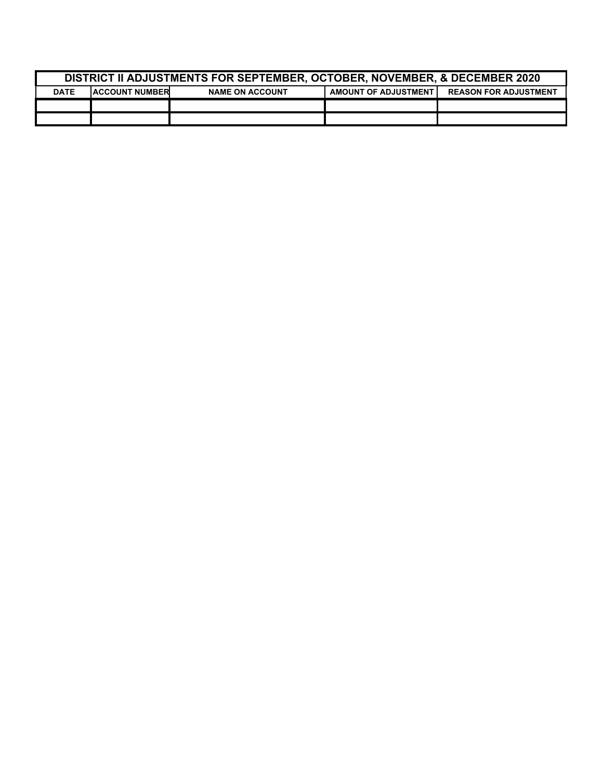| <b>DISTRICT II ADJUSTMENTS FOR SEPTEMBER, OCTOBER, NOVEMBER. &amp; DECEMBER 2020</b>                                           |  |  |  |  |  |
|--------------------------------------------------------------------------------------------------------------------------------|--|--|--|--|--|
| <b>IACCOUNT NUMBER</b><br><b>AMOUNT OF ADJUSTMENT</b><br><b>REASON FOR ADJUSTMENT</b><br><b>DATE</b><br><b>NAME ON ACCOUNT</b> |  |  |  |  |  |
|                                                                                                                                |  |  |  |  |  |
|                                                                                                                                |  |  |  |  |  |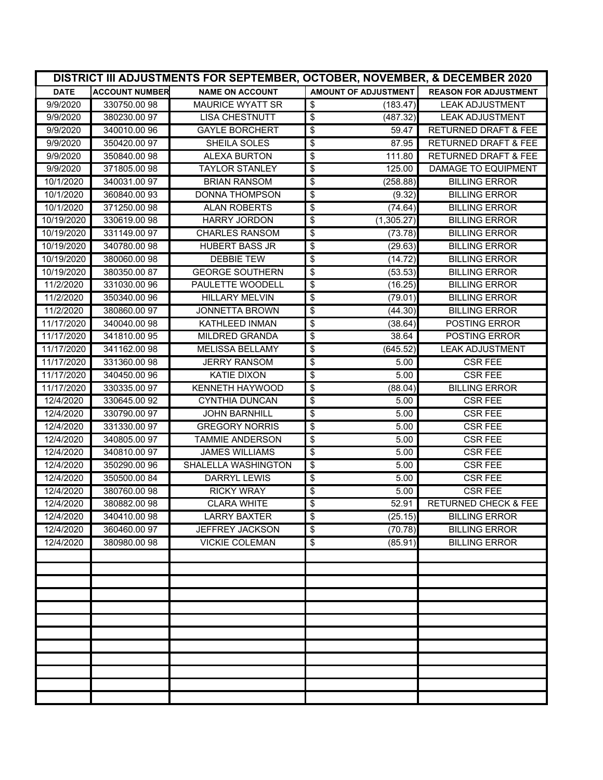|             | DISTRICT III ADJUSTMENTS FOR SEPTEMBER, OCTOBER, NOVEMBER, & DECEMBER 2020 |                         |                      |                                 |  |
|-------------|----------------------------------------------------------------------------|-------------------------|----------------------|---------------------------------|--|
| <b>DATE</b> | <b>ACCOUNT NUMBER</b>                                                      | <b>NAME ON ACCOUNT</b>  | AMOUNT OF ADJUSTMENT | <b>REASON FOR ADJUSTMENT</b>    |  |
| 9/9/2020    | 330750.0098                                                                | <b>MAURICE WYATT SR</b> | \$<br>(183.47)       | <b>LEAK ADJUSTMENT</b>          |  |
| 9/9/2020    | 380230.0097                                                                | <b>LISA CHESTNUTT</b>   | \$<br>(487.32)       | <b>LEAK ADJUSTMENT</b>          |  |
| 9/9/2020    | 340010.00 96                                                               | <b>GAYLE BORCHERT</b>   | \$<br>59.47          | <b>RETURNED DRAFT &amp; FEE</b> |  |
| 9/9/2020    | 350420.00 97                                                               | <b>SHEILA SOLES</b>     | \$<br>87.95          | <b>RETURNED DRAFT &amp; FEE</b> |  |
| 9/9/2020    | 350840.0098                                                                | <b>ALEXA BURTON</b>     | \$<br>111.80         | <b>RETURNED DRAFT &amp; FEE</b> |  |
| 9/9/2020    | 371805.0098                                                                | <b>TAYLOR STANLEY</b>   | \$<br>125.00         | <b>DAMAGE TO EQUIPMENT</b>      |  |
| 10/1/2020   | 340031.00 97                                                               | <b>BRIAN RANSOM</b>     | \$<br>(258.88)       | <b>BILLING ERROR</b>            |  |
| 10/1/2020   | 360840.0093                                                                | DONNA THOMPSON          | \$<br>(9.32)         | <b>BILLING ERROR</b>            |  |
| 10/1/2020   | 371250.00 98                                                               | <b>ALAN ROBERTS</b>     | \$<br>(74.64)        | <b>BILLING ERROR</b>            |  |
| 10/19/2020  | 330619.0098                                                                | <b>HARRY JORDON</b>     | \$<br>(1,305.27)     | <b>BILLING ERROR</b>            |  |
| 10/19/2020  | 331149.0097                                                                | <b>CHARLES RANSOM</b>   | \$<br>(73.78)        | <b>BILLING ERROR</b>            |  |
| 10/19/2020  | 340780.0098                                                                | <b>HUBERT BASS JR</b>   | \$<br>(29.63)        | <b>BILLING ERROR</b>            |  |
| 10/19/2020  | 380060.0098                                                                | <b>DEBBIE TEW</b>       | \$<br>(14.72)        | <b>BILLING ERROR</b>            |  |
| 10/19/2020  | 380350.00 87                                                               | <b>GEORGE SOUTHERN</b>  | \$<br>(53.53)        | <b>BILLING ERROR</b>            |  |
| 11/2/2020   | 331030.00 96                                                               | PAULETTE WOODELL        | \$<br>(16.25)        | <b>BILLING ERROR</b>            |  |
| 11/2/2020   | 350340.00 96                                                               | <b>HILLARY MELVIN</b>   | \$<br>(79.01)        | <b>BILLING ERROR</b>            |  |
| 11/2/2020   | 380860.00 97                                                               | <b>JONNETTA BROWN</b>   | \$<br>(44.30)        | <b>BILLING ERROR</b>            |  |
| 11/17/2020  | 340040.00 98                                                               | <b>KATHLEED INMAN</b>   | \$<br>(38.64)        | POSTING ERROR                   |  |
| 11/17/2020  | 341810.00 95                                                               | <b>MILDRED GRANDA</b>   | \$<br>38.64          | POSTING ERROR                   |  |
| 11/17/2020  | 341162.00 98                                                               | <b>MELISSA BELLAMY</b>  | \$<br>(645.52)       | <b>LEAK ADJUSTMENT</b>          |  |
| 11/17/2020  | 331360.0098                                                                | <b>JERRY RANSOM</b>     | \$<br>5.00           | <b>CSR FEE</b>                  |  |
| 11/17/2020  | 340450.00 96                                                               | KATIE DIXON             | \$<br>5.00           | <b>CSR FEE</b>                  |  |
| 11/17/2020  | 330335.00 97                                                               | <b>KENNETH HAYWOOD</b>  | \$<br>(88.04)        | <b>BILLING ERROR</b>            |  |
| 12/4/2020   | 330645.00 92                                                               | <b>CYNTHIA DUNCAN</b>   | \$<br>5.00           | <b>CSR FEE</b>                  |  |
| 12/4/2020   | 330790.00 97                                                               | <b>JOHN BARNHILL</b>    | \$<br>5.00           | <b>CSR FEE</b>                  |  |
| 12/4/2020   | 331330.00 97                                                               | <b>GREGORY NORRIS</b>   | \$<br>5.00           | <b>CSR FEE</b>                  |  |
| 12/4/2020   | 340805.0097                                                                | <b>TAMMIE ANDERSON</b>  | \$<br>5.00           | <b>CSR FEE</b>                  |  |
| 12/4/2020   | 340810.0097                                                                | <b>JAMES WILLIAMS</b>   | \$<br>5.00           | <b>CSR FEE</b>                  |  |
| 12/4/2020   | 350290.00 96                                                               | SHALELLA WASHINGTON     | \$<br>5.00           | <b>CSR FEE</b>                  |  |
| 12/4/2020   | 350500.00 84                                                               | <b>DARRYL LEWIS</b>     | \$<br>5.00           | <b>CSR FEE</b>                  |  |
| 12/4/2020   | 380760.0098                                                                | <b>RICKY WRAY</b>       | \$<br>5.00           | <b>CSR FEE</b>                  |  |
| 12/4/2020   | 380882.00 98                                                               | <b>CLARA WHITE</b>      | \$<br>52.91          | <b>RETURNED CHECK &amp; FEE</b> |  |
| 12/4/2020   | 340410.00 98                                                               | <b>LARRY BAXTER</b>     | \$<br>(25.15)        | <b>BILLING ERROR</b>            |  |
| 12/4/2020   | 360460.00 97                                                               | <b>JEFFREY JACKSON</b>  | \$<br>(70.78)        | <b>BILLING ERROR</b>            |  |
| 12/4/2020   | 380980.0098                                                                | <b>VICKIE COLEMAN</b>   | \$<br>(85.91)        | <b>BILLING ERROR</b>            |  |
|             |                                                                            |                         |                      |                                 |  |
|             |                                                                            |                         |                      |                                 |  |
|             |                                                                            |                         |                      |                                 |  |
|             |                                                                            |                         |                      |                                 |  |
|             |                                                                            |                         |                      |                                 |  |
|             |                                                                            |                         |                      |                                 |  |
|             |                                                                            |                         |                      |                                 |  |
|             |                                                                            |                         |                      |                                 |  |
|             |                                                                            |                         |                      |                                 |  |
|             |                                                                            |                         |                      |                                 |  |
|             |                                                                            |                         |                      |                                 |  |
|             |                                                                            |                         |                      |                                 |  |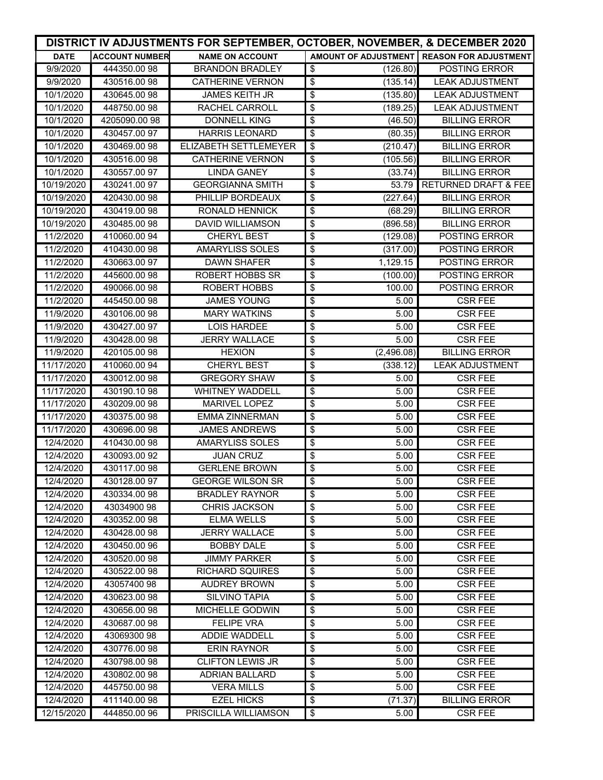|             | DISTRICT IV ADJUSTMENTS FOR SEPTEMBER, OCTOBER, NOVEMBER, & DECEMBER 2020 |                              |                                                    |                                              |  |  |
|-------------|---------------------------------------------------------------------------|------------------------------|----------------------------------------------------|----------------------------------------------|--|--|
| <b>DATE</b> | <b>ACCOUNT NUMBER</b>                                                     | <b>NAME ON ACCOUNT</b>       |                                                    | AMOUNT OF ADJUSTMENT   REASON FOR ADJUSTMENT |  |  |
| 9/9/2020    | 444350.0098                                                               | <b>BRANDON BRADLEY</b>       | \$<br>(126.80)                                     | <b>POSTING ERROR</b>                         |  |  |
| 9/9/2020    | 430516.0098                                                               | <b>CATHERINE VERNON</b>      | \$<br>(135.14)                                     | <b>LEAK ADJUSTMENT</b>                       |  |  |
| 10/1/2020   | 430645.00 98                                                              | <b>JAMES KEITH JR</b>        | \$<br>(135.80)                                     | <b>LEAK ADJUSTMENT</b>                       |  |  |
| 10/1/2020   | 448750.0098                                                               | <b>RACHEL CARROLL</b>        | \$<br>(189.25)                                     | <b>LEAK ADJUSTMENT</b>                       |  |  |
| 10/1/2020   | 4205090.00 98                                                             | <b>DONNELL KING</b>          | \$<br>(46.50)                                      | <b>BILLING ERROR</b>                         |  |  |
| 10/1/2020   | 430457.00 97                                                              | <b>HARRIS LEONARD</b>        | \$<br>(80.35)                                      | <b>BILLING ERROR</b>                         |  |  |
| 10/1/2020   | 430469.00 98                                                              | <b>ELIZABETH SETTLEMEYER</b> | $\overline{\boldsymbol{\mathfrak{s}}}$<br>(210.47) | <b>BILLING ERROR</b>                         |  |  |
| 10/1/2020   | 430516.00 98                                                              | <b>CATHERINE VERNON</b>      | \$<br>(105.56)                                     | <b>BILLING ERROR</b>                         |  |  |
| 10/1/2020   | 430557.00 97                                                              | <b>LINDA GANEY</b>           | \$<br>(33.74)                                      | <b>BILLING ERROR</b>                         |  |  |
| 10/19/2020  | 430241.0097                                                               | <b>GEORGIANNA SMITH</b>      | $\overline{\boldsymbol{\theta}}$<br>53.79          | <b>RETURNED DRAFT &amp; FEE</b>              |  |  |
| 10/19/2020  | 420430.0098                                                               | PHILLIP BORDEAUX             | (227.64)<br>\$                                     | <b>BILLING ERROR</b>                         |  |  |
| 10/19/2020  | 430419.0098                                                               | <b>RONALD HENNICK</b>        | $\overline{\boldsymbol{\theta}}$<br>(68.29)        | <b>BILLING ERROR</b>                         |  |  |
| 10/19/2020  | 430485.00 98                                                              | <b>DAVID WILLIAMSON</b>      | $\boldsymbol{\mathsf{S}}$<br>(896.58)              | <b>BILLING ERROR</b>                         |  |  |
| 11/2/2020   | 410060.0094                                                               | <b>CHERYL BEST</b>           | \$<br>(129.08)                                     | POSTING ERROR                                |  |  |
| 11/2/2020   | 410430.0098                                                               | <b>AMARYLISS SOLES</b>       | \$<br>(317.00)                                     | POSTING ERROR                                |  |  |
| 11/2/2020   | 430663.0097                                                               | <b>DAWN SHAFER</b>           | \$<br>1,129.15                                     | POSTING ERROR                                |  |  |
| 11/2/2020   | 445600.0098                                                               | <b>ROBERT HOBBS SR</b>       | \$<br>(100.00)                                     | <b>POSTING ERROR</b>                         |  |  |
| 11/2/2020   | 490066.0098                                                               | ROBERT HOBBS                 | \$<br>100.00                                       | <b>POSTING ERROR</b>                         |  |  |
| 11/2/2020   | 445450.00 98                                                              | <b>JAMES YOUNG</b>           | \$<br>5.00                                         | <b>CSR FEE</b>                               |  |  |
| 11/9/2020   | 430106.0098                                                               | <b>MARY WATKINS</b>          | \$<br>5.00                                         | <b>CSR FEE</b>                               |  |  |
| 11/9/2020   | 430427.00 97                                                              | <b>LOIS HARDEE</b>           | \$<br>5.00                                         | <b>CSR FEE</b>                               |  |  |
| 11/9/2020   | 430428.0098                                                               | <b>JERRY WALLACE</b>         | \$<br>5.00                                         | <b>CSR FEE</b>                               |  |  |
| 11/9/2020   | 420105.00 98                                                              | <b>HEXION</b>                | \$<br>(2,496.08)                                   | <b>BILLING ERROR</b>                         |  |  |
| 11/17/2020  | 410060.0094                                                               | CHERYL BEST                  | \$<br>(338.12)                                     | <b>LEAK ADJUSTMENT</b>                       |  |  |
| 11/17/2020  | 430012.00 98                                                              | <b>GREGORY SHAW</b>          | \$<br>5.00                                         | <b>CSR FEE</b>                               |  |  |
| 11/17/2020  | 430190.1098                                                               | <b>WHITNEY WADDELL</b>       | \$<br>5.00                                         | <b>CSR FEE</b>                               |  |  |
| 11/17/2020  | 430209.0098                                                               | <b>MARIVEL LOPEZ</b>         | \$<br>5.00                                         | <b>CSR FEE</b>                               |  |  |
| 11/17/2020  | 430375.0098                                                               | <b>EMMA ZINNERMAN</b>        | 5.00<br>\$                                         | <b>CSR FEE</b>                               |  |  |
| 11/17/2020  | 430696.0098                                                               | <b>JAMES ANDREWS</b>         | \$<br>5.00                                         | <b>CSR FEE</b>                               |  |  |
| 12/4/2020   | 410430.0098                                                               | <b>AMARYLISS SOLES</b>       | \$<br>5.00                                         | <b>CSR FEE</b>                               |  |  |
| 12/4/2020   | 430093.00 92                                                              | <b>JUAN CRUZ</b>             | \$<br>5.00                                         | <b>CSR FEE</b>                               |  |  |
| 12/4/2020   | 430117.0098                                                               | <b>GERLENE BROWN</b>         | \$<br>5.00                                         | <b>CSR FEE</b>                               |  |  |
| 12/4/2020   | 430128.00 97                                                              | <b>GEORGE WILSON SR</b>      | \$<br>5.00                                         | <b>CSR FEE</b>                               |  |  |
| 12/4/2020   | 430334.00 98                                                              | <b>BRADLEY RAYNOR</b>        | \$<br>5.00                                         | <b>CSR FEE</b>                               |  |  |
| 12/4/2020   | 43034900 98                                                               | <b>CHRIS JACKSON</b>         | $\overline{\mathbf{e}}$<br>5.00                    | <b>CSR FEE</b>                               |  |  |
| 12/4/2020   | 430352.0098                                                               | <b>ELMA WELLS</b>            | \$<br>5.00                                         | <b>CSR FEE</b>                               |  |  |
| 12/4/2020   | 430428.0098                                                               | <b>JERRY WALLACE</b>         | \$<br>5.00                                         | <b>CSR FEE</b>                               |  |  |
| 12/4/2020   | 430450.00 96                                                              | <b>BOBBY DALE</b>            | \$<br>5.00                                         | <b>CSR FEE</b>                               |  |  |
| 12/4/2020   | 430520.00 98                                                              | <b>JIMMY PARKER</b>          | \$<br>5.00                                         | <b>CSR FEE</b>                               |  |  |
| 12/4/2020   | 430522.0098                                                               | <b>RICHARD SQUIRES</b>       | \$<br>5.00                                         | <b>CSR FEE</b>                               |  |  |
| 12/4/2020   | 43057400 98                                                               | <b>AUDREY BROWN</b>          | \$<br>5.00                                         | <b>CSR FEE</b>                               |  |  |
| 12/4/2020   | 430623.0098                                                               | <b>SILVINO TAPIA</b>         | \$<br>5.00                                         | <b>CSR FEE</b>                               |  |  |
| 12/4/2020   | 430656.0098                                                               | <b>MICHELLE GODWIN</b>       | \$<br>5.00                                         | <b>CSR FEE</b>                               |  |  |
| 12/4/2020   | 430687.0098                                                               | <b>FELIPE VRA</b>            | \$<br>5.00                                         | <b>CSR FEE</b>                               |  |  |
| 12/4/2020   | 43069300 98                                                               | ADDIE WADDELL                | \$<br>5.00                                         | <b>CSR FEE</b>                               |  |  |
| 12/4/2020   | 430776.0098                                                               | <b>ERIN RAYNOR</b>           | \$<br>5.00                                         | <b>CSR FEE</b>                               |  |  |
| 12/4/2020   | 430798.0098                                                               | <b>CLIFTON LEWIS JR</b>      | \$<br>5.00                                         | <b>CSR FEE</b>                               |  |  |
| 12/4/2020   | 430802.00 98                                                              | <b>ADRIAN BALLARD</b>        | \$<br>5.00                                         | <b>CSR FEE</b>                               |  |  |
| 12/4/2020   | 445750.0098                                                               | <b>VERA MILLS</b>            | \$<br>5.00                                         | <b>CSR FEE</b>                               |  |  |
| 12/4/2020   | 411140.0098                                                               | <b>EZEL HICKS</b>            | \$<br>(71.37)                                      | <b>BILLING ERROR</b>                         |  |  |
| 12/15/2020  | 444850.0096                                                               | PRISCILLA WILLIAMSON         | \$<br>5.00                                         | <b>CSR FEE</b>                               |  |  |